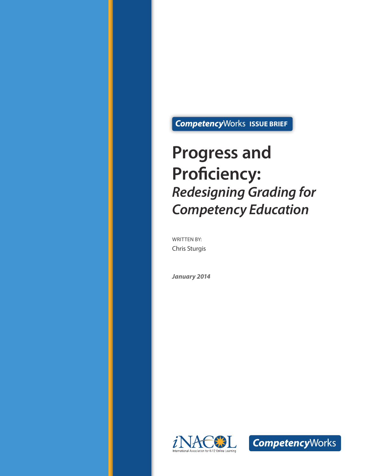## **Competency**Works ISSUE BRIEF

## **Progress and Proficiency:**  *Redesigning Grading for Competency Education*

WRITTEN BY: Chris Sturgis

*January 2014*



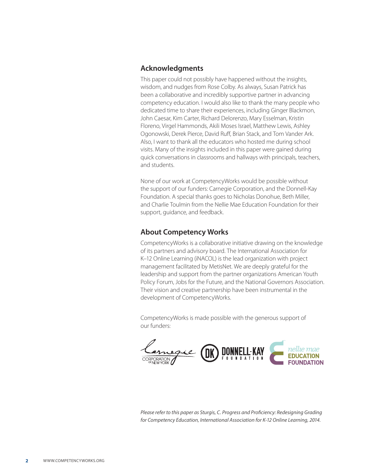#### **Acknowledgments**

This paper could not possibly have happened without the insights, wisdom, and nudges from Rose Colby. As always, Susan Patrick has been a collaborative and incredibly supportive partner in advancing competency education. I would also like to thank the many people who dedicated time to share their experiences, including Ginger Blackmon, John Caesar, Kim Carter, Richard Delorenzo, Mary Esselman, Kristin Floreno, Virgel Hammonds, Akili Moses Israel, Matthew Lewis, Ashley Ogonowski, Derek Pierce, David Ruff, Brian Stack, and Tom Vander Ark. Also, I want to thank all the educators who hosted me during school visits. Many of the insights included in this paper were gained during quick conversations in classrooms and hallways with principals, teachers, and students.

None of our work at CompetencyWorks would be possible without the support of our funders: Carnegie Corporation, and the Donnell-Kay Foundation. A special thanks goes to Nicholas Donohue, Beth Miller, and Charlie Toulmin from the Nellie Mae Education Foundation for their support, guidance, and feedback.

#### **About Competency Works**

CompetencyWorks is a collaborative initiative drawing on the knowledge of its partners and advisory board. The International Association for K–12 Online Learning (iNACOL) is the lead organization with project management facilitated by MetisNet. We are deeply grateful for the leadership and support from the partner organizations American Youth Policy Forum, Jobs for the Future, and the National Governors Association. Their vision and creative partnership have been instrumental in the development of CompetencyWorks.

CompetencyWorks is made possible with the generous support of our funders:



*Please refer to this paper as Sturgis, C. Progress and Proficiency: Redesigning Grading for Competency Education, International Association for K-12 Online Learning, 2014.*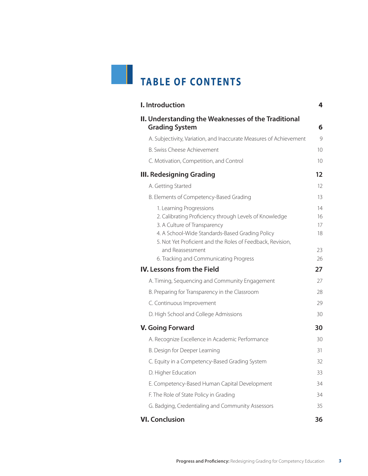# **TABLE OF CONTENTS**

| I. Introduction                                                                                                                                                                                                                     | 4                    |
|-------------------------------------------------------------------------------------------------------------------------------------------------------------------------------------------------------------------------------------|----------------------|
| II. Understanding the Weaknesses of the Traditional<br><b>Grading System</b>                                                                                                                                                        | 6                    |
| A. Subjectivity, Variation, and Inaccurate Measures of Achievement                                                                                                                                                                  | 9                    |
| B. Swiss Cheese Achievement                                                                                                                                                                                                         | 10 <sup>2</sup>      |
| C. Motivation, Competition, and Control                                                                                                                                                                                             | 10                   |
| <b>III. Redesigning Grading</b>                                                                                                                                                                                                     | 12                   |
| A. Getting Started                                                                                                                                                                                                                  | 12                   |
| B. Elements of Competency-Based Grading                                                                                                                                                                                             | 13                   |
| 1. Learning Progressions<br>2. Calibrating Proficiency through Levels of Knowledge<br>3. A Culture of Transparency<br>4. A School-Wide Standards-Based Grading Policy<br>5. Not Yet Proficient and the Roles of Feedback, Revision, | 14<br>16<br>17<br>18 |
| and Reassessment<br>6. Tracking and Communicating Progress                                                                                                                                                                          | 23<br>26             |
| <b>IV.</b> Lessons from the Field                                                                                                                                                                                                   | 27                   |
| A. Timing, Sequencing and Community Engagement                                                                                                                                                                                      | 27                   |
| B. Preparing for Transparency in the Classroom                                                                                                                                                                                      | 28                   |
| C. Continuous Improvement                                                                                                                                                                                                           | 29                   |
| D. High School and College Admissions                                                                                                                                                                                               | 30                   |
| <b>V. Going Forward</b>                                                                                                                                                                                                             | 30                   |
| A. Recognize Excellence in Academic Performance                                                                                                                                                                                     | 30                   |
| B. Design for Deeper Learning                                                                                                                                                                                                       | 31                   |
| C. Equity in a Competency-Based Grading System                                                                                                                                                                                      | 32                   |
| D. Higher Education                                                                                                                                                                                                                 | 33                   |
| E. Competency-Based Human Capital Development                                                                                                                                                                                       | 34                   |
| F. The Role of State Policy in Grading                                                                                                                                                                                              | 34                   |
| G. Badging, Credentialing and Community Assessors                                                                                                                                                                                   | 35                   |
| <b>VI. Conclusion</b>                                                                                                                                                                                                               | 36                   |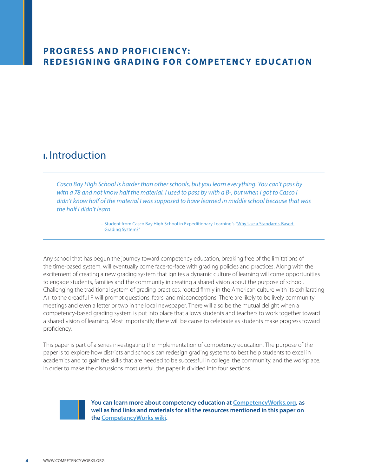### <span id="page-3-0"></span>**PROGRESS AND PROFICIENCY: Redesig ning Grading for Compete ncy Ed ucatio n**

## **I.** Introduction

*Casco Bay High School is harder than other schools, but you learn everything. You can't pass by with a 78 and not know half the material. I used to pass by with a B-, but when I got to Casco I didn't know half of the material I was supposed to have learned in middle school because that was the half I didn't learn.* 

> – Student from Casco Bay High School in Expeditionary Learning's "[Why Use a Standards-Based](http://vimeo.com/43992307)  [Grading System?"](http://vimeo.com/43992307)

Any school that has begun the journey toward competency education, breaking free of the limitations of the time-based system, will eventually come face-to-face with grading policies and practices. Along with the excitement of creating a new grading system that ignites a dynamic culture of learning will come opportunities to engage students, families and the community in creating a shared vision about the purpose of school. Challenging the traditional system of grading practices, rooted firmly in the American culture with its exhilarating A+ to the dreadful F, will prompt questions, fears, and misconceptions. There are likely to be lively community meetings and even a letter or two in the local newspaper. There will also be the mutual delight when a competency-based grading system is put into place that allows students and teachers to work together toward a shared vision of learning. Most importantly, there will be cause to celebrate as students make progress toward proficiency.

This paper is part of a series investigating the implementation of competency education. The purpose of the paper is to explore how districts and schools can redesign grading systems to best help students to excel in academics and to gain the skills that are needed to be successful in college, the community, and the workplace. In order to make the discussions most useful, the paper is divided into four sections.



**You can learn more about competency education at [CompetencyWorks.org,](http://www.competencyworks.org/) as well as find links and materials for all the resources mentioned in this paper on the [CompetencyWorks wiki](http://competencyworks.pbworks.com/w/page/66734498/Welcome%2520to%2520the%2520CompetencyWorks%2520Wiki).**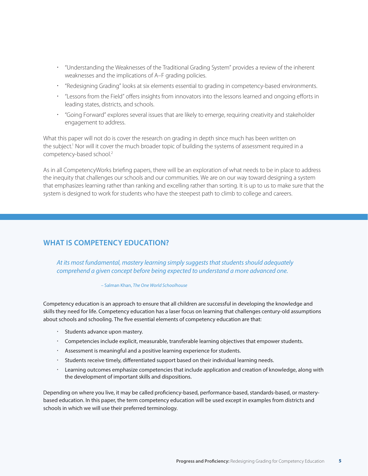- "Understanding the Weaknesses of the Traditional Grading System" provides a review of the inherent weaknesses and the implications of A–F grading policies.
- "Redesigning Grading" looks at six elements essential to grading in competency-based environments.
- "Lessons from the Field" offers insights from innovators into the lessons learned and ongoing efforts in leading states, districts, and schools.
- "Going Forward" explores several issues that are likely to emerge, requiring creativity and stakeholder engagement to address.

What this paper will not do is cover the research on grading in depth since much has been written on the subject.<sup>1</sup> Nor will it cover the much broader topic of building the systems of assessment required in a competency-based school.2

As in all CompetencyWorks briefing papers, there will be an exploration of what needs to be in place to address the inequity that challenges our schools and our communities. We are on our way toward designing a system that emphasizes learning rather than ranking and excelling rather than sorting. It is up to us to make sure that the system is designed to work for students who have the steepest path to climb to college and careers.

#### **What is Competency Education?**

*At its most fundamental, mastery learning simply suggests that students should adequately comprehend a given concept before being expected to understand a more advanced one.* 

#### – Salman Khan, *The One World Schoolhouse*

Competency education is an approach to ensure that all children are successful in developing the knowledge and skills they need for life. Competency education has a laser focus on learning that challenges century-old assumptions about schools and schooling. The five essential elements of competency education are that:

- · Students advance upon mastery.
- Competencies include explicit, measurable, transferable learning objectives that empower students.
- Assessment is meaningful and a positive learning experience for students.
- Students receive timely, differentiated support based on their individual learning needs.
- Learning outcomes emphasize competencies that include application and creation of knowledge, along with the development of important skills and dispositions.

Depending on where you live, it may be called proficiency-based, performance-based, standards-based, or masterybased education. In this paper, the term competency education will be used except in examples from districts and schools in which we will use their preferred terminology.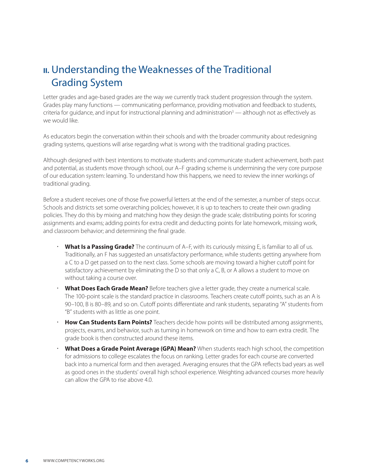## <span id="page-5-0"></span>**II.** Understanding the Weaknesses of the Traditional Grading System

Letter grades and age-based grades are the way we currently track student progression through the system. Grades play many functions — communicating performance, providing motivation and feedback to students, criteria for guidance, and input for instructional planning and administration<sup>3</sup> — although not as effectively as we would like.

As educators begin the conversation within their schools and with the broader community about redesigning grading systems, questions will arise regarding what is wrong with the traditional grading practices.

Although designed with best intentions to motivate students and communicate student achievement, both past and potential, as students move through school, our A–F grading scheme is undermining the very core purpose of our education system: learning. To understand how this happens, we need to review the inner workings of traditional grading.

Before a student receives one of those five powerful letters at the end of the semester, a number of steps occur. Schools and districts set some overarching policies; however, it is up to teachers to create their own grading policies. They do this by mixing and matching how they design the grade scale; distributing points for scoring assignments and exams; adding points for extra credit and deducting points for late homework, missing work, and classroom behavior; and determining the final grade.

- **What Is a Passing Grade?** The continuum of A–F, with its curiously missing E, is familiar to all of us. Traditionally, an F has suggested an unsatisfactory performance, while students getting anywhere from a C to a D get passed on to the next class. Some schools are moving toward a higher cutoff point for satisfactory achievement by eliminating the D so that only a C, B, or A allows a student to move on without taking a course over.
- **What Does Each Grade Mean?** Before teachers give a letter grade, they create a numerical scale. The 100-point scale is the standard practice in classrooms. Teachers create cutoff points, such as an A is 90–100, B is 80–89, and so on. Cutoff points differentiate and rank students, separating "A" students from "B" students with as little as one point.
- **How Can Students Earn Points?** Teachers decide how points will be distributed among assignments, projects, exams, and behavior, such as turning in homework on time and how to earn extra credit. The grade book is then constructed around these items.
- **What Does a Grade Point Average (GPA) Mean?** When students reach high school, the competition for admissions to college escalates the focus on ranking. Letter grades for each course are converted back into a numerical form and then averaged. Averaging ensures that the GPA reflects bad years as well as good ones in the students' overall high school experience. Weighting advanced courses more heavily can allow the GPA to rise above 4.0.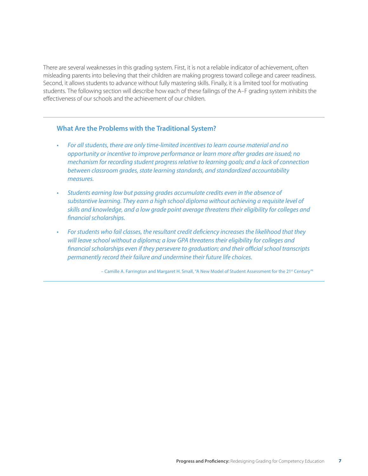There are several weaknesses in this grading system. First, it is not a reliable indicator of achievement, often misleading parents into believing that their children are making progress toward college and career readiness. Second, it allows students to advance without fully mastering skills. Finally, it is a limited tool for motivating students. The following section will describe how each of these failings of the A–F grading system inhibits the effectiveness of our schools and the achievement of our children.

#### **What Are the Problems with the Traditional System?**

- For all students, there are only time-limited incentives to learn course material and no *opportunity or incentive to improve performance or learn more after grades are issued; no mechanism for recording student progress relative to learning goals; and a lack of connection between classroom grades, state learning standards, and standardized accountability measures.*
- • *Students earning low but passing grades accumulate credits even in the absence of substantive learning. They earn a high school diploma without achieving a requisite level of skills and knowledge, and a low grade point average threatens their eligibility for colleges and financial scholarships.*
- • *For students who fail classes, the resultant credit deficiency increases the likelihood that they will leave school without a diploma; a low GPA threatens their eligibility for colleges and financial scholarships even if they persevere to graduation; and their official school transcripts permanently record their failure and undermine their future life choices.*

– Camille A. Farrington and Margaret H. Small, "A New Model of Student Assessment for the 21st Century"<sup>4</sup>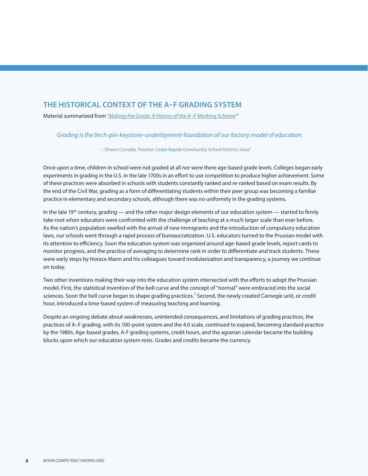#### **The Historical Context of the A–F Grading System**

Material summarized from *"[Making the Grade: A History of the A–F Marking Scheme](http://academics.holycross.edu/files/Education/schneider/Making_the_Grade_JCS_pre-pub.pdf)" 5*

*Grading is the linch-pin-keystone-underlayment-foundation of our factory model of education.* 

– Shawn Cornally, Teacher, Cedar Rapids Community School District, Iowa6

Once upon a time, children in school were not graded at all nor were there age-based grade levels. Colleges began early experiments in grading in the U.S. in the late 1700s in an effort to use competition to produce higher achievement. Some of these practices were absorbed in schools with students constantly ranked and re-ranked based on exam results. By the end of the Civil War, grading as a form of differentiating students within their peer group was becoming a familiar practice in elementary and secondary schools, although there was no uniformity in the grading systems.

In the late 19<sup>th</sup> century, grading — and the other major design elements of our education system — started to firmly take root when educators were confronted with the challenge of teaching at a much larger scale than ever before. As the nation's population swelled with the arrival of new immigrants and the introduction of compulsory education laws, our schools went through a rapid process of bureaucratization. U.S. educators turned to the Prussian model with its attention to efficiency. Soon the education system was organized around age-based grade levels, report cards to monitor progress, and the practice of averaging to determine rank in order to differentiate and track students. These were early steps by Horace Mann and his colleagues toward modularization and transparency, a journey we continue on today.

Two other inventions making their way into the education system intersected with the efforts to adopt the Prussian model. First, the statistical invention of the bell curve and the concept of "normal" were embraced into the social sciences. Soon the bell curve began to shape grading practices.<sup>7</sup> Second, the newly created Carnegie unit, or credit hour, introduced a time-based system of measuring teaching and learning.

Despite an ongoing debate about weaknesses, unintended consequences, and limitations of grading practices, the practices of A–F grading, with its 100-point system and the 4.0 scale, continued to expand, becoming standard practice by the 1980s. Age-based grades, A-F grading systems, credit hours, and the agrarian calendar became the building blocks upon which our education system rests. Grades and credits became the currency.

i<br>I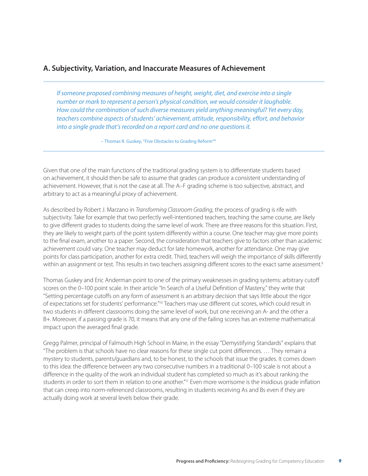#### <span id="page-8-0"></span>**A. Subjectivity, Variation, and Inaccurate Measures of Achievement**

*If someone proposed combining measures of height, weight, diet, and exercise into a single number or mark to represent a person's physical condition, we would consider it laughable. How could the combination of such diverse measures yield anything meaningful? Yet every day, teachers combine aspects of students' achievement, attitude, responsibility, effort, and behavior into a single grade that's recorded on a report card and no one questions it.*

– Thomas R. Guskey, "Five Obstacles to Grading Reform"8

Given that one of the main functions of the traditional grading system is to differentiate students based on achievement, it should then be safe to assume that grades can produce a consistent understanding of achievement. However, that is not the case at all. The A–F grading scheme is too subjective, abstract, and arbitrary to act as a meaningful proxy of achievement.

As described by Robert J. Marzano in *Transforming Classroom Grading*, the process of grading is rife with subjectivity. Take for example that two perfectly well-intentioned teachers, teaching the same course, are likely to give different grades to students doing the same level of work. There are three reasons for this situation. First, they are likely to weight parts of the point system differently within a course. One teacher may give more points to the final exam, another to a paper. Second, the consideration that teachers give to factors other than academic achievement could vary. One teacher may deduct for late homework, another for attendance. One may give points for class participation, another for extra credit. Third, teachers will weigh the importance of skills differently within an assignment or test. This results in two teachers assigning different scores to the exact same assessment.<sup>9</sup>

Thomas Guskey and Eric Anderman point to one of the primary weaknesses in grading systems: arbitrary cutoff scores on the 0–100 point scale. In their article "In Search of a Useful Definition of Mastery," they write that "Setting percentage cutoffs on any form of assessment is an arbitrary decision that says little about the rigor of expectations set for students' performance."10 Teachers may use different cut scores, which could result in two students in different classrooms doing the same level of work, but one receiving an A- and the other a B+. Moreover, if a passing grade is 70, it means that any one of the failing scores has an extreme mathematical impact upon the averaged final grade.

Gregg Palmer, principal of Falmouth High School in Maine, in the essay "Demystifying Standards" explains that "The problem is that schools have no clear reasons for these single cut point differences. … They remain a mystery to students, parents/guardians and, to be honest, to the schools that issue the grades. It comes down to this idea: the difference between any two consecutive numbers in a traditional 0–100 scale is not about a difference in the quality of the work an individual student has completed so much as it's about ranking the students in order to sort them in relation to one another.<sup>"11</sup> Even more worrisome is the insidious grade inflation that can creep into norm-referenced classrooms, resulting in students receiving As and Bs even if they are actually doing work at several levels below their grade.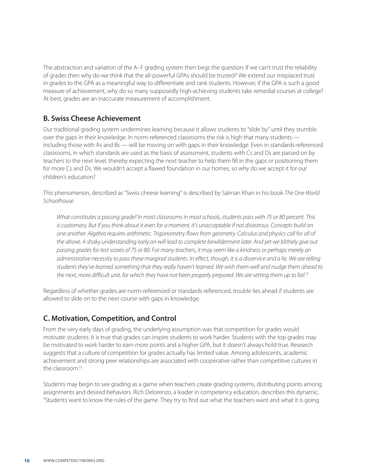<span id="page-9-0"></span>The abstraction and variation of the A–F grading system then begs the question: If we can't trust the reliability of grades then why do we think that the all-powerful GPAs should be trusted? We extend our misplaced trust in grades to the GPA as a meaningful way to differentiate and rank students. However, if the GPA is such a good measure of achievement, why do so many supposedly high-achieving students take remedial courses at college? At best, grades are an inaccurate measurement of accomplishment.

#### **B. Swiss Cheese Achievement**

Our traditional grading system undermines learning because it allows students to "slide by" until they stumble over the gaps in their knowledge. In norm-referenced classrooms the risk is high that many students including those with As and Bs — will be moving on with gaps in their knowledge. Even in standards-referenced classrooms, in which standards are used as the basis of assessment, students with Cs and Ds are passed on by teachers to the next level, thereby expecting the next teacher to help them fill in the gaps or positioning them for more Cs and Ds. We wouldn't accept a flawed foundation in our homes, so why do we accept it for our children's education?

This phenomenon, described as "Swiss cheese learning" is described by Salman Khan in his book *The One World Schoolhouse*.

*What constitutes a passing grade? In most classrooms in most schools, students pass with 75 or 80 percent. This is customary. But if you think about it even for a moment, it's unacceptable if not disastrous. Concepts build on one another. Algebra requires arithmetic. Trigonometry flows from geometry. Calculus and physics call for all of the above. A shaky understanding early on will lead to complete bewilderment later. And yet we blithely give out passing grades for test scores of 75 or 80. For many teachers, it may seem like a kindness or perhaps merely an administrative necessity to pass these marginal students. In effect, though, it is a disservice and a lie. We are telling students they've learned something that they really haven't learned. We wish them well and nudge them ahead to the next, more difficult unit, for which they have not been properly prepared. We are setting them up to fail.12*

Regardless of whether grades are norm-referenced or standards-referenced, trouble lies ahead if students are allowed to slide on to the next course with gaps in knowledge.

#### **C. Motivation, Competition, and Control**

From the very early days of grading, the underlying assumption was that competition for grades would motivate students. It is true that grades can inspire students to work harder. Students with the top grades may be motivated to work harder to earn more points and a higher GPA, but it doesn't always hold true. Research suggests that a culture of competition for grades actually has limited value. Among adolescents, academic achievement and strong peer relationships are associated with cooperative rather than competitive cultures in the classroom.13

Students may begin to see grading as a game when teachers create grading systems, distributing points among assignments and desired behaviors. Rich Delorenzo, a leader in competency education, describes this dynamic, "Students want to know the rules of the game. They try to find out what the teachers want and what it is going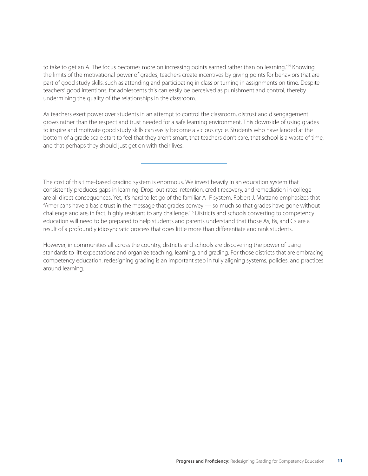to take to get an A. The focus becomes more on increasing points earned rather than on learning."<sup>14</sup> Knowing the limits of the motivational power of grades, teachers create incentives by giving points for behaviors that are part of good study skills, such as attending and participating in class or turning in assignments on time. Despite teachers' good intentions, for adolescents this can easily be perceived as punishment and control, thereby undermining the quality of the relationships in the classroom.

As teachers exert power over students in an attempt to control the classroom, distrust and disengagement grows rather than the respect and trust needed for a safe learning environment. This downside of using grades to inspire and motivate good study skills can easily become a vicious cycle. Students who have landed at the bottom of a grade scale start to feel that they aren't smart, that teachers don't care, that school is a waste of time, and that perhaps they should just get on with their lives.

The cost of this time-based grading system is enormous. We invest heavily in an education system that consistently produces gaps in learning. Drop-out rates, retention, credit recovery, and remediation in college are all direct consequences. Yet, it's hard to let go of the familiar A–F system. Robert J. Marzano emphasizes that "Americans have a basic trust in the message that grades convey — so much so that grades have gone without challenge and are, in fact, highly resistant to any challenge."15 Districts and schools converting to competency education will need to be prepared to help students and parents understand that those As, Bs, and Cs are a result of a profoundly idiosyncratic process that does little more than differentiate and rank students.

However, in communities all across the country, districts and schools are discovering the power of using standards to lift expectations and organize teaching, learning, and grading. For those districts that are embracing competency education, redesigning grading is an important step in fully aligning systems, policies, and practices around learning.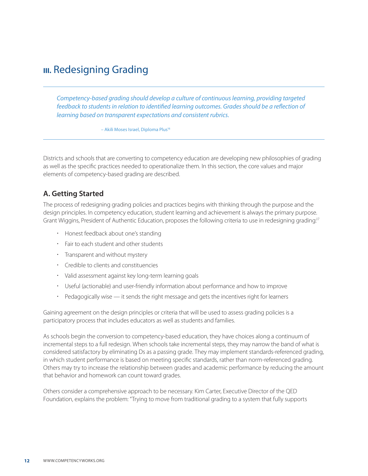## <span id="page-11-0"></span>**III.** Redesigning Grading

*Competency-based grading should develop a culture of continuous learning, providing targeted*  feedback to students in relation to identified learning outcomes. Grades should be a reflection of *learning based on transparent expectations and consistent rubrics.*

– Akili Moses Israel, Diploma Plus16

Districts and schools that are converting to competency education are developing new philosophies of grading as well as the specific practices needed to operationalize them. In this section, the core values and major elements of competency-based grading are described.

#### **A. Getting Started**

The process of redesigning grading policies and practices begins with thinking through the purpose and the design principles. In competency education, student learning and achievement is always the primary purpose. Grant Wiggins, President of Authentic Education, proposes the following criteria to use in redesigning grading:<sup>17</sup>

- Honest feedback about one's standing
- Fair to each student and other students
- Transparent and without mystery
- Credible to clients and constituencies
- Valid assessment against key long-term learning goals
- Useful (actionable) and user-friendly information about performance and how to improve
- Pedagogically wise it sends the right message and gets the incentives right for learners

Gaining agreement on the design principles or criteria that will be used to assess grading policies is a participatory process that includes educators as well as students and families.

As schools begin the conversion to competency-based education, they have choices along a continuum of incremental steps to a full redesign. When schools take incremental steps, they may narrow the band of what is considered satisfactory by eliminating Ds as a passing grade. They may implement standards-referenced grading, in which student performance is based on meeting specific standards, rather than norm-referenced grading. Others may try to increase the relationship between grades and academic performance by reducing the amount that behavior and homework can count toward grades.

Others consider a comprehensive approach to be necessary. Kim Carter, Executive Director of the QED Foundation, explains the problem: "Trying to move from traditional grading to a system that fully supports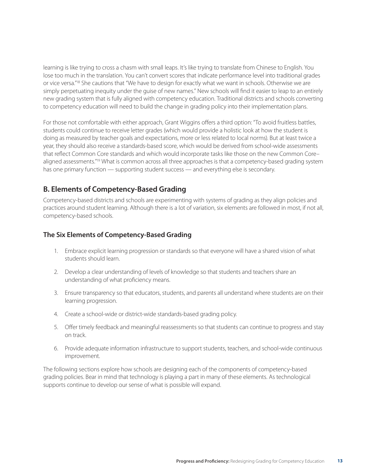<span id="page-12-0"></span>learning is like trying to cross a chasm with small leaps. It's like trying to translate from Chinese to English. You lose too much in the translation. You can't convert scores that indicate performance level into traditional grades or vice versa."<sup>18</sup> She cautions that "We have to design for exactly what we want in schools. Otherwise we are simply perpetuating inequity under the guise of new names." New schools will find it easier to leap to an entirely new grading system that is fully aligned with competency education. Traditional districts and schools converting to competency education will need to build the change in grading policy into their implementation plans.

For those not comfortable with either approach, Grant Wiggins offers a third option: "To avoid fruitless battles, students could continue to receive letter grades (which would provide a holistic look at how the student is doing as measured by teacher goals and expectations, more or less related to local norms). But at least twice a year, they should also receive a standards-based score, which would be derived from school-wide assessments that reflect Common Core standards and which would incorporate tasks like those on the new Common Core– aligned assessments."19 What is common across all three approaches is that a competency-based grading system has one primary function — supporting student success — and everything else is secondary.

#### **B. Elements of Competency-Based Grading**

Competency-based districts and schools are experimenting with systems of grading as they align policies and practices around student learning. Although there is a lot of variation, six elements are followed in most, if not all, competency-based schools.

#### **The Six Elements of Competency-Based Grading**

- 1. Embrace explicit learning progression or standards so that everyone will have a shared vision of what students should learn.
- 2. Develop a clear understanding of levels of knowledge so that students and teachers share an understanding of what proficiency means.
- 3. Ensure transparency so that educators, students, and parents all understand where students are on their learning progression.
- 4. Create a school-wide or district-wide standards-based grading policy.
- 5. Offer timely feedback and meaningful reassessments so that students can continue to progress and stay on track.
- 6. Provide adequate information infrastructure to support students, teachers, and school-wide continuous improvement.

The following sections explore how schools are designing each of the components of competency-based grading policies. Bear in mind that technology is playing a part in many of these elements. As technological supports continue to develop our sense of what is possible will expand.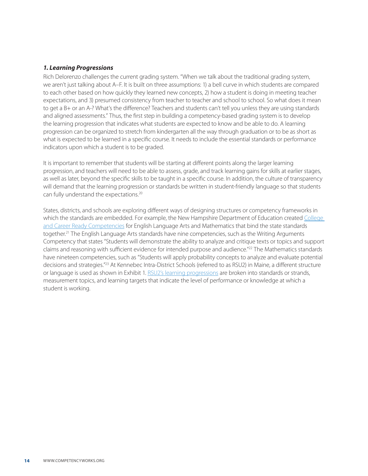#### <span id="page-13-0"></span>*1. Learning Progressions*

Rich Delorenzo challenges the current grading system. "When we talk about the traditional grading system, we aren't just talking about A–F. It is built on three assumptions: 1) a bell curve in which students are compared to each other based on how quickly they learned new concepts, 2) how a student is doing in meeting teacher expectations, and 3) presumed consistency from teacher to teacher and school to school. So what does it mean to get a B+ or an A-? What's the difference? Teachers and students can't tell you unless they are using standards and aligned assessments." Thus, the first step in building a competency-based grading system is to develop the learning progression that indicates what students are expected to know and be able to do. A learning progression can be organized to stretch from kindergarten all the way through graduation or to be as short as what is expected to be learned in a specific course. It needs to include the essential standards or performance indicators upon which a student is to be graded.

It is important to remember that students will be starting at different points along the larger learning progression, and teachers will need to be able to assess, grade, and track learning gains for skills at earlier stages, as well as later, beyond the specific skills to be taught in a specific course. In addition, the culture of transparency will demand that the learning progression or standards be written in student-friendly language so that students can fully understand the expectations.20

States, districts, and schools are exploring different ways of designing structures or competency frameworks in which the standards are embedded. For example, the New Hampshire Department of Education created College [and Career Ready Competencies](http://www.education.nh.gov/competencies/) for English Language Arts and Mathematics that bind the state standards together.<sup>21</sup> The English Language Arts standards have nine competencies, such as the Writing Arguments Competency that states "Students will demonstrate the ability to analyze and critique texts or topics and support claims and reasoning with sufficient evidence for intended purpose and audience."22 The Mathematics standards have nineteen competencies, such as "Students will apply probability concepts to analyze and evaluate potential decisions and strategies."23 At Kennebec Intra-District Schools (referred to as RSU2) in Maine, a different structure or language is used as shown in Exhibit 1. [RSU2's learning progressions](http://www.kidsrsu.org/index.php/learnercenterednews/measurement_topics_and_learning_targets) are broken into standards or strands, measurement topics, and learning targets that indicate the level of performance or knowledge at which a student is working.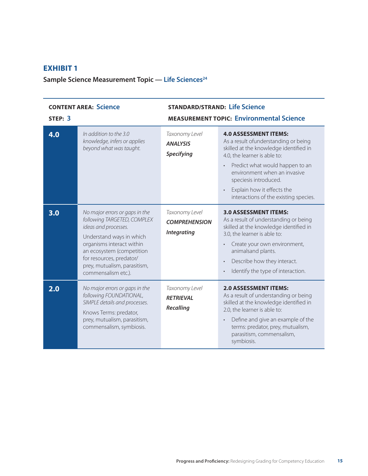#### **Exhibit 1**

Sample Science Measurement Topic — Life Sciences<sup>24</sup>

| <b>CONTENT AREA: Science</b><br>STEP: 3 |                                                                                                                                                                                                                                                                | <b>STANDARD/STRAND: Life Science</b><br><b>MEASUREMENT TOPIC: Environmental Science</b> |                                                                                                                                                                                                                                                                                                                    |
|-----------------------------------------|----------------------------------------------------------------------------------------------------------------------------------------------------------------------------------------------------------------------------------------------------------------|-----------------------------------------------------------------------------------------|--------------------------------------------------------------------------------------------------------------------------------------------------------------------------------------------------------------------------------------------------------------------------------------------------------------------|
| 4.0                                     | In addition to the 3.0<br>knowledge, infers or applies<br>beyond what was taught.                                                                                                                                                                              | Taxonomy Level<br><b>ANALYSIS</b><br>Specifying                                         | <b>4.0 ASSESSMENT ITEMS:</b><br>As a result of understanding or being<br>skilled at the knowledge identified in<br>4.0, the learner is able to:<br>Predict what would happen to an<br>environment when an invasive<br>speciesis introduced.<br>Explain how it effects the<br>interactions of the existing species. |
| 3.0                                     | No major errors or gaps in the<br>following TARGETED, COMPLEX<br>ideas and processes.<br>Understand ways in which<br>organisms interact within<br>an ecosystem (competition<br>for resources, predator/<br>prey, mutualism, parasitism,<br>commensalism etc.). | Taxonomy Level<br><b>COMPREHENSION</b><br><b>Integrating</b>                            | <b>3.0 ASSESSMENT ITEMS:</b><br>As a result of understanding or being<br>skilled at the knowledge identified in<br>3.0, the learner is able to:<br>Create your own environment,<br>animalsand plants.<br>Describe how they interact.<br>$\bullet$<br>Identify the type of interaction.                             |
| 2.0                                     | No major errors or gaps in the<br>following FOUNDATIONAL,<br>SIMPLE details and processes.<br>Knows Terms: predator,<br>prey, mutualism, parasitism,<br>commensalism, symbiosis.                                                                               | Taxonomy Level<br><b>RFTRIFVAI</b><br>Recalling                                         | <b>2.0 ASSESSMENT ITEMS:</b><br>As a result of understanding or being<br>skilled at the knowledge identified in<br>2.0, the learner is able to:<br>Define and give an example of the<br>$\bullet$<br>terms: predator, prey, mutualism,<br>parasitism, commensalism,<br>symbiosis.                                  |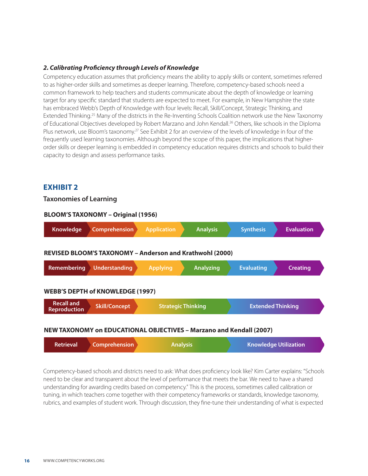#### <span id="page-15-0"></span>*2. Calibrating Proficiency through Levels of Knowledge*

Competency education assumes that proficiency means the ability to apply skills or content, sometimes referred to as higher-order skills and sometimes as deeper learning. Therefore, competency-based schools need a common framework to help teachers and students communicate about the depth of knowledge or learning target for any specific standard that students are expected to meet. For example, in New Hampshire the state has embraced Webb's Depth of Knowledge with four levels: Recall, Skill/Concept, Strategic Thinking, and Extended Thinking.25 Many of the districts in the Re-Inventing Schools Coalition network use the New Taxonomy of Educational Objectives developed by Robert Marzano and John Kendall.26 Others, like schools in the Diploma Plus network, use Bloom's taxonomy.<sup>27</sup> See Exhibit 2 for an overview of the levels of knowledge in four of the frequently used learning taxonomies. Although beyond the scope of this paper, the implications that higherorder skills or deeper learning is embedded in competency education requires districts and schools to build their capacity to design and assess performance tasks.

#### **Exhibit 2**

#### **Taxonomies of Learning**

| <b>BLOOM'S TAXONOMY - Original (1956)</b>                           |                                                          |                    |                           |                          |                   |
|---------------------------------------------------------------------|----------------------------------------------------------|--------------------|---------------------------|--------------------------|-------------------|
| Knowledge                                                           | Comprehension                                            | <b>Application</b> | <b>Analysis</b>           | <b>Synthesis</b>         | <b>Evaluation</b> |
|                                                                     | REVISED BLOOM'S TAXONOMY - Anderson and Krathwohl (2000) |                    |                           |                          |                   |
| Remembering                                                         | Understanding                                            | <b>Applying</b>    | <b>Analyzing</b>          | <b>Evaluating</b>        | <b>Creating</b>   |
|                                                                     | <b>WEBB'S DEPTH of KNOWLEDGE (1997)</b>                  |                    |                           |                          |                   |
| <b>Recall and</b><br><b>Reproduction</b>                            | <b>Skill/Concept</b>                                     |                    | <b>Strategic Thinking</b> | <b>Extended Thinking</b> |                   |
| NEW TAXONOMY on EDUCATIONAL OBJECTIVES – Marzano and Kendall (2007) |                                                          |                    |                           |                          |                   |

#### **NEW TAXONOMY on EDUCATIONAL OBJECTIVES – Marzano and Kendall (2007)**

| <b>Retrieval</b>     | <b>Knowledge Utilization</b> |
|----------------------|------------------------------|
| <b>Comprehension</b> | <b>Analysis</b>              |

Competency-based schools and districts need to ask: What does proficiency look like? Kim Carter explains: "Schools need to be clear and transparent about the level of performance that meets the bar. We need to have a shared understanding for awarding credits based on competency." This is the process, sometimes called calibration or tuning, in which teachers come together with their competency frameworks or standards, knowledge taxonomy, rubrics, and examples of student work. Through discussion, they fine-tune their understanding of what is expected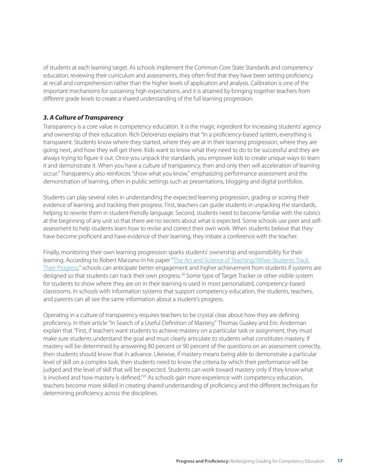<span id="page-16-0"></span>of students at each learning target. As schools implement the Common Core State Standards and competency education, reviewing their curriculum and assessments, they often find that they have been setting proficiency at recall and comprehension rather than the higher levels of application and analysis. Calibration is one of the important mechanisms for sustaining high expectations, and it is attained by bringing together teachers from different grade levels to create a shared understanding of the full learning progression.

#### *3. A Culture of Transparency*

Transparency is a core value in competency education. It is the magic ingredient for increasing students' agency and ownership of their education. Rich Delorenzo explains that "In a proficiency-based system, everything is transparent. Students know where they started, where they are at in their learning progression, where they are going next, and how they will get there. Kids want to know what they need to do to be successful and they are always trying to figure it out. Once you unpack the standards, you empower kids to create unique ways to learn it and demonstrate it. When you have a culture of transparency, then and only then will acceleration of learning occur." Transparency also reinforces "show what you know," emphasizing performance assessment and the demonstration of learning, often in public settings such as presentations, blogging and digital portfolios.

Students can play several roles in understanding the expected learning progression, grading or scoring their evidence of learning, and tracking their progress. First, teachers can guide students in unpacking the standards, helping to rewrite them in student-friendly language. Second, students need to become familiar with the rubrics at the beginning of any unit so that there are no secrets about what is expected. Some schools use peer and selfassessment to help students learn how to revise and correct their own work. When students believe that they have become proficient and have evidence of their learning, they initiate a conference with the teacher.

Finally, monitoring their own learning progression sparks students' ownership and responsibility for their learning. According to Robert Marzano in his paper "[The Art and Science of Teaching/When Students Track](http://www.ascd.org/publications/educational-leadership/dec09/vol67/num04/When-Students-Track-Their-Progress.aspx)  [Their Progress](http://www.ascd.org/publications/educational-leadership/dec09/vol67/num04/When-Students-Track-Their-Progress.aspx)," schools can anticipate better engagement and higher achievement from students if systems are designed so that students can track their own progress.28 Some type of Target Tracker or other visible system for students to show where they are on in their learning is used in most personalized, competency-based classrooms. In schools with information systems that support competency education, the students, teachers, and parents can all see the same information about a student's progress.

Operating in a culture of transparency requires teachers to be crystal clear about how they are defining proficiency. In their article "In Search of a Useful Definition of Mastery," Thomas Guskey and Eric Anderman explain that "First, if teachers want students to achieve mastery on a particular task or assignment, they must make sure students understand the goal and must clearly articulate to students what constitutes mastery. If mastery will be determined by answering 80 percent or 90 percent of the questions on an assessment correctly, then students should know that in advance. Likewise, if mastery means being able to demonstrate a particular level of skill on a complex task, then students need to know the criteria by which their performance will be judged and the level of skill that will be expected. Students can work toward mastery only if they know what is involved and how mastery is defined.<sup>"29</sup> As schools gain more experience with competency education, teachers become more skilled in creating shared understanding of proficiency and the different techniques for determining proficiency across the disciplines.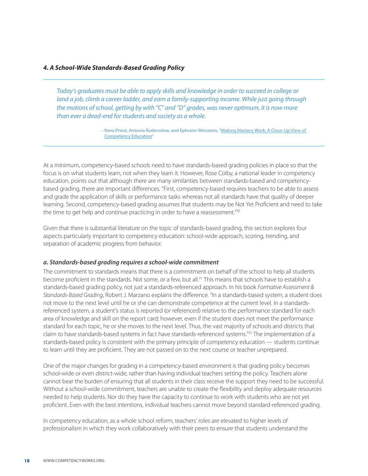#### <span id="page-17-0"></span>*4. A School-Wide Standards-Based Grading Policy*

*Today's graduates must be able to apply skills and knowledge in order to succeed in college or land a job, climb a career ladder, and earn a family-supporting income. While just going through the motions of school, getting by with "C" and "D" grades, was never optimum, it is now more than ever a dead-end for students and society as a whole.*

> – Nora Priest, Antonia Rudenstine, and Ephraim Weisstein, "[Making Mastery Work: A Close-Up View of](http://www.competencyworks.org/resources/making-mastery-work/)  [Competency Education](http://www.competencyworks.org/resources/making-mastery-work/)"

At a minimum, competency-based schools need to have standards-based grading policies in place so that the focus is on what students learn, not when they learn it. However, Rose Colby, a national leader in competency education, points out that although there are many similarities between standards-based and competencybased grading, there are important differences. "First, competency-based requires teachers to be able to assess and grade the application of skills or performance tasks whereas not all standards have that quality of deeper learning. Second, competency-based grading assumes that students may be Not Yet Proficient and need to take the time to get help and continue practicing in order to have a reassessment."<sup>30</sup>

Given that there is substantial literature on the topic of standards-based grading, this section explores four aspects particularly important to competency education: school-wide approach, scoring, trending, and separation of academic progress from behavior.

#### *a. Standards-based grading requires a school-wide commitment*

The commitment to standards means that there is a commitment on behalf of the school to help all students become proficient in the standards. Not some, or a few, but all.<sup>31</sup> This means that schools have to establish a standards-based grading policy, not just a standards-referenced approach. In his book *Formative Assessment & Standards-Based Grading*, Robert J. Marzano explains the difference. "In a standards-based system, a student does not move to the next level until he or she can demonstrate competence at the current level. In a standardsreferenced system, a student's status is reported (or referenced) relative to the performance standard for each area of knowledge and skill on the report card; however, even if the student does not meet the performance standard for each topic, he or she moves to the next level. Thus, the vast majority of schools and districts that claim to have standards-based systems in fact have standards-referenced systems."32 The implementation of a standards-based policy is consistent with the primary principle of competency education — students continue to learn until they are proficient. They are not passed on to the next course or teacher unprepared.

One of the major changes for grading in a competency-based environment is that grading policy becomes school-wide or even district-wide, rather than having individual teachers setting the policy. Teachers alone cannot bear the burden of ensuring that all students in their class receive the support they need to be successful. Without a school-wide commitment, teachers are unable to create the flexibility and deploy adequate resources needed to help students. Nor do they have the capacity to continue to work with students who are not yet proficient. Even with the best intentions, individual teachers cannot move beyond standard-referenced grading.

In competency education, as a whole school reform, teachers' roles are elevated to higher levels of professionalism in which they work collaboratively with their peers to ensure that students understand the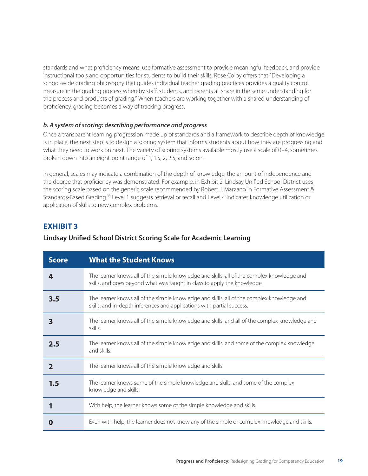standards and what proficiency means, use formative assessment to provide meaningful feedback, and provide instructional tools and opportunities for students to build their skills. Rose Colby offers that "Developing a school-wide grading philosophy that guides individual teacher grading practices provides a quality control measure in the grading process whereby staff, students, and parents all share in the same understanding for the process and products of grading." When teachers are working together with a shared understanding of proficiency, grading becomes a way of tracking progress.

#### *b. A system of scoring: describing performance and progress*

Once a transparent learning progression made up of standards and a framework to describe depth of knowledge is in place, the next step is to design a scoring system that informs students about how they are progressing and what they need to work on next. The variety of scoring systems available mostly use a scale of 0–4, sometimes broken down into an eight-point range of 1, 1.5, 2, 2.5, and so on.

In general, scales may indicate a combination of the depth of knowledge, the amount of independence and the degree that proficiency was demonstrated. For example, in Exhibit 2, Lindsay Unified School District uses the scoring scale based on the generic scale recommended by Robert J. Marzano in Formative Assessment & Standards-Based Grading.33 Level 1 suggests retrieval or recall and Level 4 indicates knowledge utilization or application of skills to new complex problems.

#### **Exhibit 3**

#### **Lindsay Unified School District Scoring Scale for Academic Learning**

| <b>Score</b> | <b>What the Student Knows</b>                                                                                                                                          |
|--------------|------------------------------------------------------------------------------------------------------------------------------------------------------------------------|
| 4            | The learner knows all of the simple knowledge and skills, all of the complex knowledge and<br>skills, and goes beyond what was taught in class to apply the knowledge. |
| 3.5          | The learner knows all of the simple knowledge and skills, all of the complex knowledge and<br>skills, and in-depth inferences and applications with partial success.   |
| 3            | The learner knows all of the simple knowledge and skills, and all of the complex knowledge and<br>skills.                                                              |
| 2.5          | The learner knows all of the simple knowledge and skills, and some of the complex knowledge<br>and skills.                                                             |
| $\mathbf{2}$ | The learner knows all of the simple knowledge and skills.                                                                                                              |
| 1.5          | The learner knows some of the simple knowledge and skills, and some of the complex<br>knowledge and skills.                                                            |
|              | With help, the learner knows some of the simple knowledge and skills.                                                                                                  |
|              | Even with help, the learner does not know any of the simple or complex knowledge and skills.                                                                           |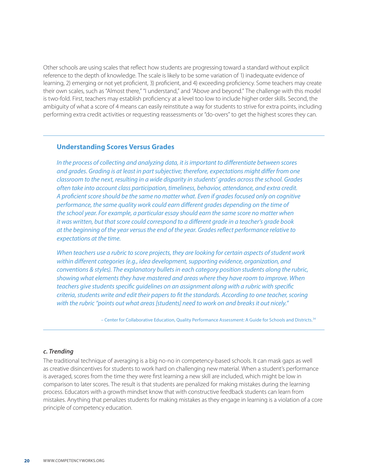Other schools are using scales that reflect how students are progressing toward a standard without explicit reference to the depth of knowledge. The scale is likely to be some variation of 1) inadequate evidence of learning, 2) emerging or not yet proficient, 3) proficient, and 4) exceeding proficiency. Some teachers may create their own scales, such as "Almost there," "I understand," and "Above and beyond." The challenge with this model is two-fold. First, teachers may establish proficiency at a level too low to include higher order skills. Second, the ambiguity of what a score of 4 means can easily reinstitute a way for students to strive for extra points, including performing extra credit activities or requesting reassessments or "do-overs" to get the highest scores they can.

#### **Understanding Scores Versus Grades**

*In the process of collecting and analyzing data, it is important to differentiate between scores and grades. Grading is at least in part subjective; therefore, expectations might differ from one classroom to the next, resulting in a wide disparity in students' grades across the school. Grades often take into account class participation, timeliness, behavior, attendance, and extra credit. A proficient score should be the same no matter what. Even if grades focused only on cognitive performance, the same quality work could earn different grades depending on the time of the school year. For example, a particular essay should earn the same score no matter when it was written, but that score could correspond to a different grade in a teacher's grade book at the beginning of the year versus the end of the year. Grades reflect performance relative to expectations at the time.*

*When teachers use a rubric to score projects, they are looking for certain aspects of student work within different categories (e.g., idea development, supporting evidence, organization, and conventions & styles). The explanatory bullets in each category position students along the rubric, showing what elements they have mastered and areas where they have room to improve. When teachers give students specific guidelines on an assignment along with a rubric with specific criteria, students write and edit their papers to fit the standards. According to one teacher, scoring with the rubric "points out what areas [students] need to work on and breaks it out nicely."*

– Center for Collaborative Education, Quality Performance Assessment: A Guide for Schools and Districts.34

#### *c. Trending*

The traditional technique of averaging is a big no-no in competency-based schools. It can mask gaps as well as creative disincentives for students to work hard on challenging new material. When a student's performance is averaged, scores from the time they were first learning a new skill are included, which might be low in comparison to later scores. The result is that students are penalized for making mistakes during the learning process. Educators with a growth mindset know that with constructive feedback students can learn from mistakes. Anything that penalizes students for making mistakes as they engage in learning is a violation of a core principle of competency education.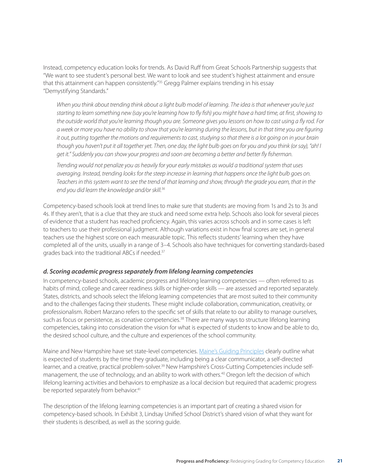Instead, competency education looks for trends. As David Ruff from Great Schools Partnership suggests that "We want to see student's personal best. We want to look and see student's highest attainment and ensure that this attainment can happen consistently."35 Gregg Palmer explains trending in his essay "Demystifying Standards."

*When you think about trending think about a light bulb model of learning. The idea is that whenever you're just starting to learn something new (say you're learning how to fly fish) you might have a hard time, at first, showing to the outside world that you're learning though you are. Someone gives you lessons on how to cast using a fly rod. For a week or more you have no ability to show that you're learning during the lessons, but in that time you are figuring it out, putting together the motions and requirements to cast, studying so that there is a lot going on in your brain though you haven't put it all together yet. Then, one day, the light bulb goes on for you and you think (or say), "ah! I get it." Suddenly you can show your progress and soon are becoming a better and better fly fisherman.*

*Trending would not penalize you as heavily for your early mistakes as would a traditional system that uses averaging. Instead, trending looks for the steep increase in learning that happens once the light bulb goes on. Teachers in this system want to see the trend of that learning and show, through the grade you earn, that in the end you did learn the knowledge and/or skill.36*

Competency-based schools look at trend lines to make sure that students are moving from 1s and 2s to 3s and 4s. If they aren't, that is a clue that they are stuck and need some extra help. Schools also look for several pieces of evidence that a student has reached proficiency. Again, this varies across schools and in some cases is left to teachers to use their professional judgment. Although variations exist in how final scores are set, in general teachers use the highest score on each measurable topic. This reflects students' learning when they have completed all of the units, usually in a range of 3–4. Schools also have techniques for converting standards-based grades back into the traditional ABCs if needed.37

#### *d. Scoring academic progress separately from lifelong learning competencies*

In competency-based schools, academic progress and lifelong learning competencies — often referred to as habits of mind, college and career readiness skills or higher-order skills — are assessed and reported separately. States, districts, and schools select the lifelong learning competencies that are most suited to their community and to the challenges facing their students. These might include collaboration, communication, creativity, or professionalism. Robert Marzano refers to the specific set of skills that relate to our ability to manage ourselves, such as focus or persistence, as conative competencies.<sup>38</sup> There are many ways to structure lifelong learning competencies, taking into consideration the vision for what is expected of students to know and be able to do, the desired school culture, and the culture and experiences of the school community.

Maine and New Hampshire have set state-level competencies. [Maine's Guiding Principles](http://www.maine.gov/doe/proficiency/standards/guiding-principles.html) clearly outline what is expected of students by the time they graduate, including being a clear communicator, a self-directed learner, and a creative, practical problem-solver.<sup>39</sup> New Hampshire's Cross-Cutting Competencies include selfmanagement, the use of technology, and an ability to work with others.<sup>40</sup> Oregon left the decision of which lifelong learning activities and behaviors to emphasize as a local decision but required that academic progress be reported separately from behavior.<sup>41</sup>

The description of the lifelong learning competencies is an important part of creating a shared vision for competency-based schools. In Exhibit 3, Lindsay Unified School District's shared vision of what they want for their students is described, as well as the scoring guide.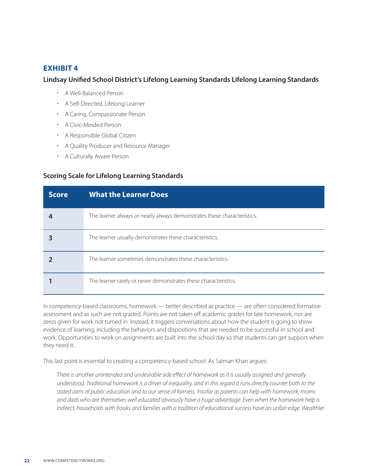#### **Exhibit 4**

#### **Lindsay Unified School District's Lifelong Learning Standards Lifelong Learning Standards**

- A Well-Balanced Person
- A Self-Directed, Lifelong Learner
- A Caring, Compassionate Person
- A Civic-Minded Person
- A Responsible Global Citizen
- A Quality Producer and Resource Manager
- A Culturally Aware Person

#### **Scoring Scale for Lifelong Learning Standards**

| <b>Score</b> | <b>What the Learner Does</b>                                            |
|--------------|-------------------------------------------------------------------------|
|              | The learner always or nearly always demonstrates these characteristics. |
|              | The learner usually demonstrates these characteristics.                 |
|              | The learner sometimes demonstrates these characteristics.               |
|              | The learner rarely or never demonstrates these characteristics.         |

In competency-based classrooms, homework — better described as practice — are often considered formative assessment and as such are not graded. Points are not taken off academic grades for late homework, nor are zeros given for work not turned in. Instead, it triggers conversations about how the student is going to show evidence of learning, including the behaviors and dispositions that are needed to be successful in school and work. Opportunities to work on assignments are built into the school day so that students can get support when they need it.

This last point is essential to creating a competency-based school. As Salman Khan argues:

*There is another unintended and undesirable side effect of homework as it is usually assigned and generally understood. Traditional homework is a driver of inequality, and in this regard it runs directly counter both to the stated aims of public education and to our sense of fairness. Insofar as parents can help with homework, moms and dads who are themselves well educated obviously have a huge advantage. Even when the homework help is*  indirect, households with books and families with a tradition of educational success have an unfair edge. Wealthier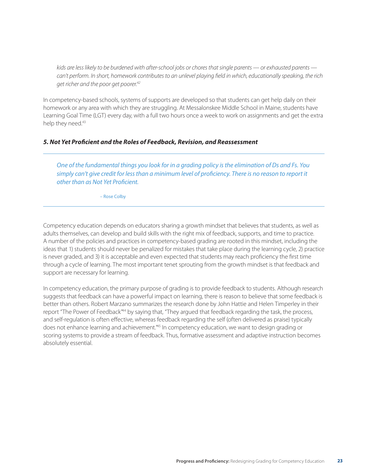<span id="page-22-0"></span>*kids are less likely to be burdened with after-school jobs or chores that single parents — or exhausted parents can't perform. In short, homework contributes to an unlevel playing field in which, educationally speaking, the rich get richer and the poor get poorer.42*

In competency-based schools, systems of supports are developed so that students can get help daily on their homework or any area with which they are struggling. At Messalonskee Middle School in Maine, students have Learning Goal Time (LGT) every day, with a full two hours once a week to work on assignments and get the extra help they need.<sup>43</sup>

#### *5. Not Yet Proficient and the Roles of Feedback, Revision, and Reassessment*

*One of the fundamental things you look for in a grading policy is the elimination of Ds and Fs. You simply can't give credit for less than a minimum level of proficiency. There is no reason to report it other than as Not Yet Proficient.*

– Rose Colby

Competency education depends on educators sharing a growth mindset that believes that students, as well as adults themselves, can develop and build skills with the right mix of feedback, supports, and time to practice. A number of the policies and practices in competency-based grading are rooted in this mindset, including the ideas that 1) students should never be penalized for mistakes that take place during the learning cycle, 2) practice is never graded, and 3) it is acceptable and even expected that students may reach proficiency the first time through a cycle of learning. The most important tenet sprouting from the growth mindset is that feedback and support are necessary for learning.

In competency education, the primary purpose of grading is to provide feedback to students. Although research suggests that feedback can have a powerful impact on learning, there is reason to believe that some feedback is better than others. Robert Marzano summarizes the research done by John Hattie and Helen Timperley in their report "The Power of Feedback"<sup>44</sup> by saying that, "They argued that feedback regarding the task, the process, and self-regulation is often effective, whereas feedback regarding the self (often delivered as praise) typically does not enhance learning and achievement."45 In competency education, we want to design grading or scoring systems to provide a stream of feedback. Thus, formative assessment and adaptive instruction becomes absolutely essential.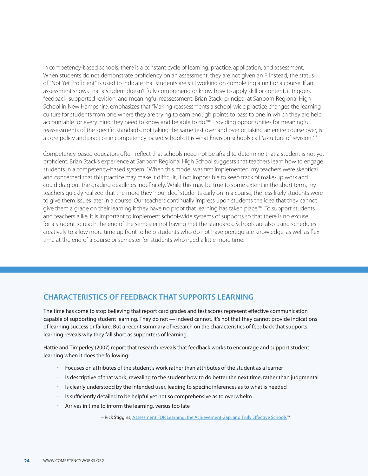In competency-based schools, there is a constant cycle of learning, practice, application, and assessment. When students do not demonstrate proficiency on an assessment, they are not given an F. Instead, the status of "Not Yet Proficient" is used to indicate that students are still working on completing a unit or a course. If an assessment shows that a student doesn't fully comprehend or know how to apply skill or content, it triggers feedback, supported revision, and meaningful reassessment. Brian Stack, principal at Sanborn Regional High School in New Hampshire, emphasizes that "Making reassessments a school-wide practice changes the learning culture for students from one where they are trying to earn enough points to pass to one in which they are held accountable for everything they need to know and be able to do."46 Providing opportunities for meaningful reassessments of the specific standards, not taking the same test over and over or taking an entire course over, is a core policy and practice in competency-based schools. It is what Envision schools call "a culture of revision."<sup>47</sup>

Competency-based educators often reflect that schools need not be afraid to determine that a student is not yet proficient. Brian Stack's experience at Sanborn Regional High School suggests that teachers learn how to engage students in a competency-based system. "When this model was first implemented, my teachers were skeptical and concerned that this practice may make it difficult, if not impossible to keep track of make-up work and could drag out the grading deadlines indefinitely. While this may be true to some extent in the short term, my teachers quickly realized that the more they 'hounded' students early on in a course, the less likely students were to give them issues later in a course. Our teachers continually impress upon students the idea that they cannot give them a grade on their learning if they have no proof that learning has taken place."<sup>48</sup> To support students and teachers alike, it is important to implement school-wide systems of supports so that there is no excuse for a student to reach the end of the semester not having met the standards. Schools are also using schedules creatively to allow more time up front to help students who do not have prerequisite knowledge, as well as flex time at the end of a course or semester for students who need a little more time.

#### **Characteristics of Feedback That Supports Learning**

The time has come to stop believing that report card grades and test scores represent effective communication capable of supporting student learning. They do not — indeed cannot. It's not that they cannot provide indications of learning success or failure. But a recent summary of research on the characteristics of feedback that supports learning reveals why they fall short as supporters of learning.

Hattie and Timperley (2007) report that research reveals that feedback works to encourage and support student learning when it does the following:

- Focuses on attributes of the student's work rather than attributes of the student as a learner
- Is descriptive of that work, revealing to the student how to do better the next time, rather than judgmental
- Is clearly understood by the intended user, leading to specific inferences as to what is needed
- Is sufficiently detailed to be helpful yet not so comprehensive as to overwhelm
- Arrives in time to inform the learning, versus too late

– Rick Stiggins, Assessment FOR Learning, the Achievement Gap, and Truly Effective Schools<sup>49</sup>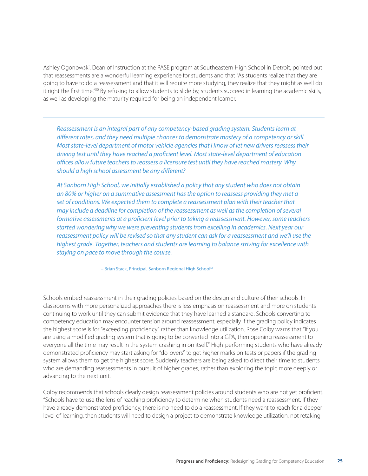Ashley Ogonowski, Dean of Instruction at the PASE program at Southeastern High School in Detroit, pointed out that reassessments are a wonderful learning experience for students and that "As students realize that they are going to have to do a reassessment and that it will require more studying, they realize that they might as well do it right the first time."50 By refusing to allow students to slide by, students succeed in learning the academic skills, as well as developing the maturity required for being an independent learner.

*Reassessment is an integral part of any competency-based grading system. Students learn at different rates, and they need multiple chances to demonstrate mastery of a competency or skill. Most state-level department of motor vehicle agencies that I know of let new drivers reassess their driving test until they have reached a proficient level. Most state-level department of education offices allow future teachers to reassess a licensure test until they have reached mastery. Why should a high school assessment be any different?* 

*At Sanborn High School, we initially established a policy that any student who does not obtain an 80% or higher on a summative assessment has the option to reassess providing they met a set of conditions. We expected them to complete a reassessment plan with their teacher that may include a deadline for completion of the reassessment as well as the completion of several formative assessments at a proficient level prior to taking a reassessment. However, some teachers started wondering why we were preventing students from excelling in academics. Next year our reassessment policy will be revised so that any student can ask for a reassessment and we'll use the highest grade. Together, teachers and students are learning to balance striving for excellence with staying on pace to move through the course.* 

– Brian Stack, Principal, Sanborn Regional High School<sup>51</sup>

Schools embed reassessment in their grading policies based on the design and culture of their schools. In classrooms with more personalized approaches there is less emphasis on reassessment and more on students continuing to work until they can submit evidence that they have learned a standard. Schools converting to competency education may encounter tension around reassessment, especially if the grading policy indicates the highest score is for "exceeding proficiency" rather than knowledge utilization. Rose Colby warns that "If you are using a modified grading system that is going to be converted into a GPA, then opening reassessment to everyone all the time may result in the system crashing in on itself." High-performing students who have already demonstrated proficiency may start asking for "do-overs" to get higher marks on tests or papers if the grading system allows them to get the highest score. Suddenly teachers are being asked to direct their time to students who are demanding reassessments in pursuit of higher grades, rather than exploring the topic more deeply or advancing to the next unit.

Colby recommends that schools clearly design reassessment policies around students who are not yet proficient. "Schools have to use the lens of reaching proficiency to determine when students need a reassessment. If they have already demonstrated proficiency, there is no need to do a reassessment. If they want to reach for a deeper level of learning, then students will need to design a project to demonstrate knowledge utilization, not retaking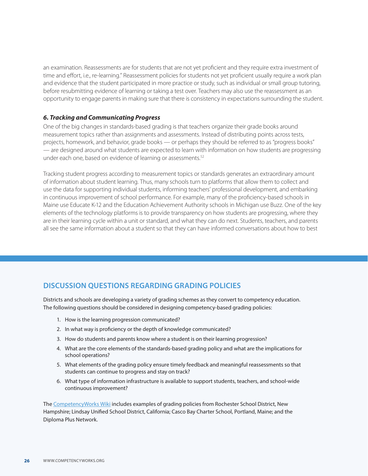<span id="page-25-0"></span>an examination. Reassessments are for students that are not yet proficient and they require extra investment of time and effort, i.e., re-learning." Reassessment policies for students not yet proficient usually require a work plan and evidence that the student participated in more practice or study, such as individual or small group tutoring, before resubmitting evidence of learning or taking a test over. Teachers may also use the reassessment as an opportunity to engage parents in making sure that there is consistency in expectations surrounding the student.

#### *6. Tracking and Communicating Progress*

One of the big changes in standards-based grading is that teachers organize their grade books around measurement topics rather than assignments and assessments. Instead of distributing points across tests, projects, homework, and behavior, grade books — or perhaps they should be referred to as "progress books" — are designed around what students are expected to learn with information on how students are progressing under each one, based on evidence of learning or assessments.<sup>52</sup>

Tracking student progress according to measurement topics or standards generates an extraordinary amount of information about student learning. Thus, many schools turn to platforms that allow them to collect and use the data for supporting individual students, informing teachers' professional development, and embarking in continuous improvement of school performance. For example, many of the proficiency-based schools in Maine use Educate K-12 and the Education Achievement Authority schools in Michigan use Buzz. One of the key elements of the technology platforms is to provide transparency on how students are progressing, where they are in their learning cycle within a unit or standard, and what they can do next. Students, teachers, and parents all see the same information about a student so that they can have informed conversations about how to best

#### **Discussion Questions Regarding Grading Policies**

Districts and schools are developing a variety of grading schemes as they convert to competency education. The following questions should be considered in designing competency-based grading policies:

- 1. How is the learning progression communicated?
- 2. In what way is proficiency or the depth of knowledge communicated?
- 3. How do students and parents know where a student is on their learning progression?
- 4. What are the core elements of the standards-based grading policy and what are the implications for school operations?
- 5. What elements of the grading policy ensure timely feedback and meaningful reassessments so that students can continue to progress and stay on track?
- 6. What type of information infrastructure is available to support students, teachers, and school-wide continuous improvement?

The [CompetencyWorks Wiki](http://competencyworks.pbworks.com/w/page/66734498/Welcome%2520to%2520the%2520CompetencyWorks%2520Wiki) includes examples of grading policies from Rochester School District, New Hampshire; Lindsay Unified School District, California; Casco Bay Charter School, Portland, Maine; and the Diploma Plus Network.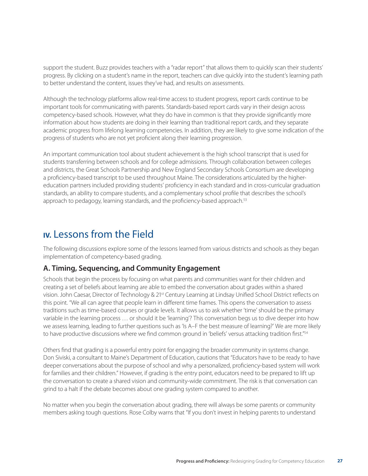<span id="page-26-0"></span>support the student. Buzz provides teachers with a "radar report" that allows them to quickly scan their students' progress. By clicking on a student's name in the report, teachers can dive quickly into the student's learning path to better understand the content, issues they've had, and results on assessments.

Although the technology platforms allow real-time access to student progress, report cards continue to be important tools for communicating with parents. Standards-based report cards vary in their design across competency-based schools. However, what they do have in common is that they provide significantly more information about how students are doing in their learning than traditional report cards, and they separate academic progress from lifelong learning competencies. In addition, they are likely to give some indication of the progress of students who are not yet proficient along their learning progression.

An important communication tool about student achievement is the high school transcript that is used for students transferring between schools and for college admissions. Through collaboration between colleges and districts, the Great Schools Partnership and New England Secondary Schools Consortium are developing a proficiency-based transcript to be used throughout Maine. The considerations articulated by the highereducation partners included providing students' proficiency in each standard and in cross-curricular graduation standards, an ability to compare students, and a complementary school profile that describes the school's approach to pedagogy, learning standards, and the proficiency-based approach.<sup>53</sup>

## **IV.** Lessons from the Field

The following discussions explore some of the lessons learned from various districts and schools as they began implementation of competency-based grading.

#### **A. Timing, Sequencing, and Community Engagement**

Schools that begin the process by focusing on what parents and communities want for their children and creating a set of beliefs about learning are able to embed the conversation about grades within a shared vision. John Caesar, Director of Technology & 21st Century Learning at Lindsay Unified School District reflects on this point. "We all can agree that people learn in different time frames. This opens the conversation to assess traditions such as time-based courses or grade levels. It allows us to ask whether 'time' should be the primary variable in the learning process … or should it be 'learning'? This conversation begs us to dive deeper into how we assess learning, leading to further questions such as 'Is A–F the best measure of learning?' We are more likely to have productive discussions where we find common ground in 'beliefs' versus attacking tradition first."<sup>54</sup>

Others find that grading is a powerful entry point for engaging the broader community in systems change. Don Siviski, a consultant to Maine's Department of Education, cautions that "Educators have to be ready to have deeper conversations about the purpose of school and why a personalized, proficiency-based system will work for families and their children." However, if grading is the entry point, educators need to be prepared to lift up the conversation to create a shared vision and community-wide commitment. The risk is that conversation can grind to a halt if the debate becomes about one grading system compared to another.

No matter when you begin the conversation about grading, there will always be some parents or community members asking tough questions. Rose Colby warns that "If you don't invest in helping parents to understand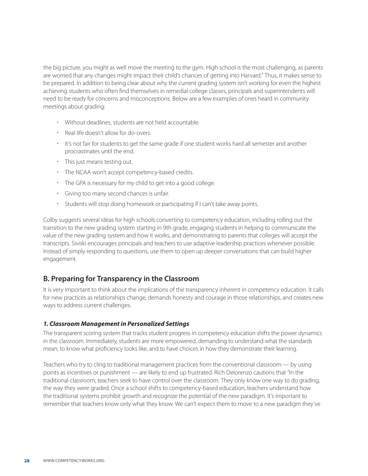<span id="page-27-0"></span>the big picture, you might as well move the meeting to the gym. High school is the most challenging, as parents are worried that any changes might impact their child's chances of getting into Harvard." Thus, it makes sense to be prepared. In addition to being clear about why the current grading system isn't working for even the highest achieving students who often find themselves in remedial college classes, principals and superintendents will need to be ready for concerns and misconceptions. Below are a few examples of ones heard in community meetings about grading:

- Without deadlines, students are not held accountable.
- Real life doesn't allow for do-overs.
- It's not fair for students to get the same grade if one student works hard all semester and another procrastinates until the end.
- This just means testing out.
- The NCAA won't accept competency-based credits.
- The GPA is necessary for my child to get into a good college.
- Giving too many second chances is unfair.
- Students will stop doing homework or participating if I can't take away points.

Colby suggests several ideas for high schools converting to competency education, including rolling out the transition to the new grading system starting in 9th grade, engaging students in helping to communicate the value of the new grading system and how it works, and demonstrating to parents that colleges will accept the transcripts. Siviski encourages principals and teachers to use adaptive leadership practices whenever possible. Instead of simply responding to questions, use them to open up deeper conversations that can build higher engagement.

#### **B. Preparing for Transparency in the Classroom**

It is very important to think about the implications of the transparency inherent in competency education. It calls for new practices as relationships change, demands honesty and courage in those relationships, and creates new ways to address current challenges.

#### *1. Classroom Management in Personalized Settings*

The transparent scoring system that tracks student progress in competency education shifts the power dynamics in the classroom. Immediately, students are more empowered, demanding to understand what the standards mean, to know what proficiency looks like, and to have choices in how they demonstrate their learning.

Teachers who try to cling to traditional management practices from the conventional classroom — by using points as incentives or punishment — are likely to end up frustrated. Rich Delorenzo cautions that "In the traditional classroom, teachers seek to have control over the classroom. They only know one way to do grading, the way they were graded. Once a school shifts to competency-based education, teachers understand how the traditional systems prohibit growth and recognize the potential of the new paradigm. It's important to remember that teachers know only what they know. We can't expect them to move to a new paradigm they've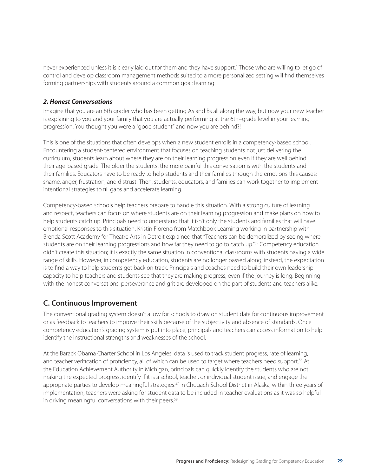<span id="page-28-0"></span>never experienced unless it is clearly laid out for them and they have support." Those who are willing to let go of control and develop classroom management methods suited to a more personalized setting will find themselves forming partnerships with students around a common goal: learning.

#### *2. Honest Conversations*

Imagine that you are an 8th grader who has been getting As and Bs all along the way, but now your new teacher is explaining to you and your family that you are actually performing at the 6th–grade level in your learning progression. You thought you were a "good student" and now you are behind?!

This is one of the situations that often develops when a new student enrolls in a competency-based school. Encountering a student-centered environment that focuses on teaching students not just delivering the curriculum, students learn about where they are on their learning progression even if they are well behind their age-based grade. The older the students, the more painful this conversation is with the students and their families. Educators have to be ready to help students and their families through the emotions this causes: shame, anger, frustration, and distrust. Then, students, educators, and families can work together to implement intentional strategies to fill gaps and accelerate learning.

Competency-based schools help teachers prepare to handle this situation. With a strong culture of learning and respect, teachers can focus on where students are on their learning progression and make plans on how to help students catch up. Principals need to understand that it isn't only the students and families that will have emotional responses to this situation. Kristin Floreno from Matchbook Learning working in partnership with Brenda Scott Academy for Theatre Arts in Detroit explained that "Teachers can be demoralized by seeing where students are on their learning progressions and how far they need to go to catch up."<sup>55</sup> Competency education didn't create this situation; it is exactly the same situation in conventional classrooms with students having a wide range of skills. However, in competency education, students are no longer passed along; instead, the expectation is to find a way to help students get back on track. Principals and coaches need to build their own leadership capacity to help teachers and students see that they are making progress, even if the journey is long. Beginning with the honest conversations, perseverance and grit are developed on the part of students and teachers alike.

#### **C. Continuous Improvement**

The conventional grading system doesn't allow for schools to draw on student data for continuous improvement or as feedback to teachers to improve their skills because of the subjectivity and absence of standards. Once competency education's grading system is put into place, principals and teachers can access information to help identify the instructional strengths and weaknesses of the school.

At the Barack Obama Charter School in Los Angeles, data is used to track student progress, rate of learning, and teacher verification of proficiency, all of which can be used to target where teachers need support.<sup>56</sup> At the Education Achievement Authority in Michigan, principals can quickly identify the students who are not making the expected progress, identify if it is a school, teacher, or individual student issue, and engage the appropriate parties to develop meaningful strategies.<sup>57</sup> In Chugach School District in Alaska, within three years of implementation, teachers were asking for student data to be included in teacher evaluations as it was so helpful in driving meaningful conversations with their peers.<sup>58</sup>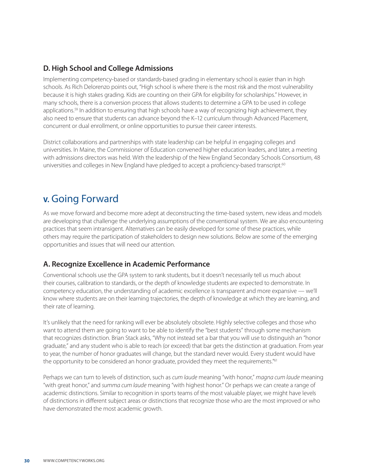#### <span id="page-29-0"></span>**D. High School and College Admissions**

Implementing competency-based or standards-based grading in elementary school is easier than in high schools. As Rich Delorenzo points out, "High school is where there is the most risk and the most vulnerability because it is high stakes grading. Kids are counting on their GPA for eligibility for scholarships." However, in many schools, there is a conversion process that allows students to determine a GPA to be used in college applications.<sup>59</sup> In addition to ensuring that high schools have a way of recognizing high achievement, they also need to ensure that students can advance beyond the K–12 curriculum through Advanced Placement, concurrent or dual enrollment, or online opportunities to pursue their career interests.

District collaborations and partnerships with state leadership can be helpful in engaging colleges and universities. In Maine, the Commissioner of Education convened higher education leaders, and later, a meeting with admissions directors was held. With the leadership of the New England Secondary Schools Consortium, 48 universities and colleges in New England have pledged to accept a proficiency-based transcript.<sup>60</sup>

## **V.** Going Forward

As we move forward and become more adept at deconstructing the time-based system, new ideas and models are developing that challenge the underlying assumptions of the conventional system. We are also encountering practices that seem intransigent. Alternatives can be easily developed for some of these practices, while others may require the participation of stakeholders to design new solutions. Below are some of the emerging opportunities and issues that will need our attention.

#### **A. Recognize Excellence in Academic Performance**

Conventional schools use the GPA system to rank students, but it doesn't necessarily tell us much about their courses, calibration to standards, or the depth of knowledge students are expected to demonstrate. In competency education, the understanding of academic excellence is transparent and more expansive — we'll know where students are on their learning trajectories, the depth of knowledge at which they are learning, and their rate of learning.

It's unlikely that the need for ranking will ever be absolutely obsolete. Highly selective colleges and those who want to attend them are going to want to be able to identify the "best students" through some mechanism that recognizes distinction. Brian Stack asks, "Why not instead set a bar that you will use to distinguish an "honor graduate," and any student who is able to reach (or exceed) that bar gets the distinction at graduation. From year to year, the number of honor graduates will change, but the standard never would. Every student would have the opportunity to be considered an honor graduate, provided they meet the requirements."<sup>61</sup>

Perhaps we can turn to levels of distinction, such as *cum laude* meaning "with honor," *magna cum laude* meaning "with great honor," and *summa cum laude* meaning "with highest honor." Or perhaps we can create a range of academic distinctions. Similar to recognition in sports teams of the most valuable player, we might have levels of distinctions in different subject areas or distinctions that recognize those who are the most improved or who have demonstrated the most academic growth.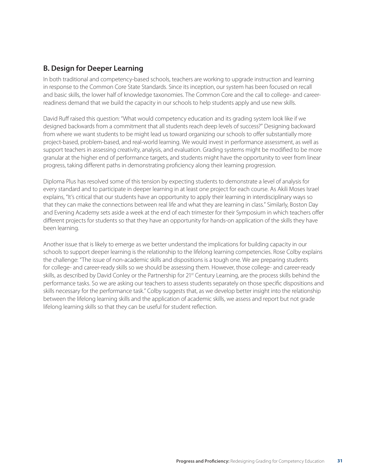#### <span id="page-30-0"></span>**B. Design for Deeper Learning**

In both traditional and competency-based schools, teachers are working to upgrade instruction and learning in response to the Common Core State Standards. Since its inception, our system has been focused on recall and basic skills, the lower half of knowledge taxonomies. The Common Core and the call to college- and careerreadiness demand that we build the capacity in our schools to help students apply and use new skills.

David Ruff raised this question: "What would competency education and its grading system look like if we designed backwards from a commitment that all students reach deep levels of success?" Designing backward from where we want students to be might lead us toward organizing our schools to offer substantially more project-based, problem-based, and real-world learning. We would invest in performance assessment, as well as support teachers in assessing creativity, analysis, and evaluation. Grading systems might be modified to be more granular at the higher end of performance targets, and students might have the opportunity to veer from linear progress, taking different paths in demonstrating proficiency along their learning progression.

Diploma Plus has resolved some of this tension by expecting students to demonstrate a level of analysis for every standard and to participate in deeper learning in at least one project for each course. As Akili Moses Israel explains, "It's critical that our students have an opportunity to apply their learning in interdisciplinary ways so that they can make the connections between real life and what they are learning in class." Similarly, Boston Day and Evening Academy sets aside a week at the end of each trimester for their Symposium in which teachers offer different projects for students so that they have an opportunity for hands-on application of the skills they have been learning.

Another issue that is likely to emerge as we better understand the implications for building capacity in our schools to support deeper learning is the relationship to the lifelong learning competencies. Rose Colby explains the challenge: "The issue of non-academic skills and dispositions is a tough one. We are preparing students for college- and career-ready skills so we should be assessing them. However, those college- and career-ready skills, as described by David Conley or the Partnership for 21<sup>st</sup> Century Learning, are the process skills behind the performance tasks. So we are asking our teachers to assess students separately on those specific dispositions and skills necessary for the performance task." Colby suggests that, as we develop better insight into the relationship between the lifelong learning skills and the application of academic skills, we assess and report but not grade lifelong learning skills so that they can be useful for student reflection.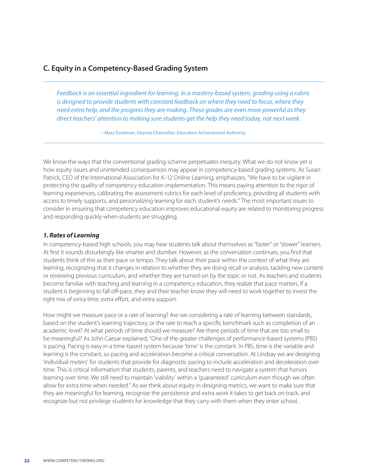#### <span id="page-31-0"></span>**C. Equity in a Competency-Based Grading System**

*Feedback is an essential ingredient for learning. In a mastery-based system, grading using a rubric*  is designed to provide students with constant feedback on where they need to focus, where they *need extra help, and the progress they are making. These grades are even more powerful as they direct teachers' attention to making sure students get the help they need today, not next week.*

– Mary Esselman, Deputy Chancellor, Education Achievement Authority

We know the ways that the conventional grading scheme perpetuates inequity. What we do not know yet is how equity issues and unintended consequences may appear in competency-based grading systems. As Susan Patrick, CEO of the International Association for K–12 Online Learning, emphasizes, "We have to be vigilant in protecting the quality of competency education implementation. This means paying attention to the rigor of learning experiences, calibrating the assessment rubrics for each level of proficiency, providing all students with access to timely supports, and personalizing learning for each student's needs." The most important issues to consider in ensuring that competency education improves educational equity are related to monitoring progress and responding quickly when students are struggling.

#### *1. Rates of Learning*

In competency-based high schools, you may hear students talk about themselves as "faster" or "slower" learners. At first it sounds disturbingly like smarter and dumber. However, as the conversation continues, you find that students think of this as their pace or tempo. They talk about their pace within the context of what they are learning, recognizing that it changes in relation to whether they are doing recall or analysis, tackling new content or reviewing previous curriculum, and whether they are turned-on by the topic or not. As teachers and students become familiar with teaching and learning in a competency education, they realize that pace matters. If a student is beginning to fall off-pace, they and their teacher know they will need to work together to invest the right mix of extra time, extra effort, and extra support.

How might we measure pace or a rate of learning? Are we considering a rate of learning between standards, based on the student's learning trajectory, or the rate to reach a specific benchmark such as completion of an academic level? At what periods of time should we measure? Are there periods of time that are too small to be meaningful? As John Caesar explained, "One of the greater challenges of performance-based systems (PBS) is pacing. Pacing is easy in a time-based system because 'time' is the constant. In PBS, time is the variable and learning is the constant, so pacing and acceleration become a critical conversation. At Lindsay we are designing 'individual meters' for students that provide for diagnostic pacing to include acceleration and deceleration over time. This is critical information that students, parents, and teachers need to navigate a system that honors learning over time. We still need to maintain 'viability' within a 'guaranteed' curriculum even though we often allow for extra time when needed." As we think about equity in designing metrics, we want to make sure that they are meaningful for learning, recognize the persistence and extra work it takes to get back on track, and recognize but not privilege students for knowledge that they carry with them when they enter school.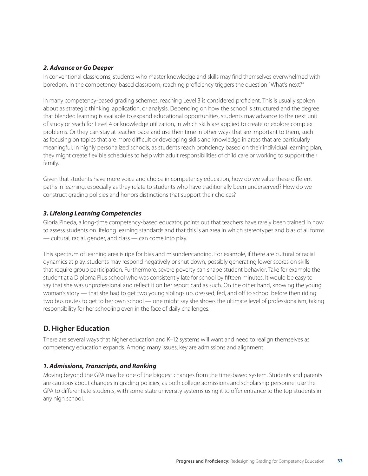#### <span id="page-32-0"></span>*2. Advance or Go Deeper*

In conventional classrooms, students who master knowledge and skills may find themselves overwhelmed with boredom. In the competency-based classroom, reaching proficiency triggers the question "What's next?"

In many competency-based grading schemes, reaching Level 3 is considered proficient. This is usually spoken about as strategic thinking, application, or analysis. Depending on how the school is structured and the degree that blended learning is available to expand educational opportunities, students may advance to the next unit of study or reach for Level 4 or knowledge utilization, in which skills are applied to create or explore complex problems. Or they can stay at teacher pace and use their time in other ways that are important to them, such as focusing on topics that are more difficult or developing skills and knowledge in areas that are particularly meaningful. In highly personalized schools, as students reach proficiency based on their individual learning plan, they might create flexible schedules to help with adult responsibilities of child care or working to support their family.

Given that students have more voice and choice in competency education, how do we value these different paths in learning, especially as they relate to students who have traditionally been underserved? How do we construct grading policies and honors distinctions that support their choices?

#### *3. Lifelong Learning Competencies*

Gloria Pineda, a long-time competency-based educator, points out that teachers have rarely been trained in how to assess students on lifelong learning standards and that this is an area in which stereotypes and bias of all forms — cultural, racial, gender, and class — can come into play.

This spectrum of learning area is ripe for bias and misunderstanding. For example, if there are cultural or racial dynamics at play, students may respond negatively or shut down, possibly generating lower scores on skills that require group participation. Furthermore, severe poverty can shape student behavior. Take for example the student at a Diploma Plus school who was consistently late for school by fifteen minutes. It would be easy to say that she was unprofessional and reflect it on her report card as such. On the other hand, knowing the young woman's story — that she had to get two young siblings up, dressed, fed, and off to school before then riding two bus routes to get to her own school — one might say she shows the ultimate level of professionalism, taking responsibility for her schooling even in the face of daily challenges.

#### **D. Higher Education**

There are several ways that higher education and K–12 systems will want and need to realign themselves as competency education expands. Among many issues, key are admissions and alignment.

#### *1. Admissions, Transcripts, and Ranking*

Moving beyond the GPA may be one of the biggest changes from the time-based system. Students and parents are cautious about changes in grading policies, as both college admissions and scholarship personnel use the GPA to differentiate students, with some state university systems using it to offer entrance to the top students in any high school.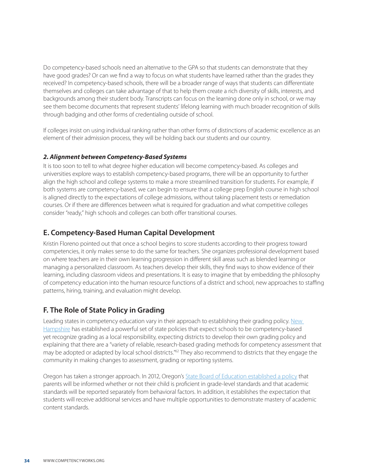<span id="page-33-0"></span>Do competency-based schools need an alternative to the GPA so that students can demonstrate that they have good grades? Or can we find a way to focus on what students have learned rather than the grades they received? In competency-based schools, there will be a broader range of ways that students can differentiate themselves and colleges can take advantage of that to help them create a rich diversity of skills, interests, and backgrounds among their student body. Transcripts can focus on the learning done only in school, or we may see them become documents that represent students' lifelong learning with much broader recognition of skills through badging and other forms of credentialing outside of school.

If colleges insist on using individual ranking rather than other forms of distinctions of academic excellence as an element of their admission process, they will be holding back our students and our country.

#### *2. Alignment between Competency-Based Systems*

It is too soon to tell to what degree higher education will become competency-based. As colleges and universities explore ways to establish competency-based programs, there will be an opportunity to further align the high school and college systems to make a more streamlined transition for students. For example, if both systems are competency-based, we can begin to ensure that a college prep English course in high school is aligned directly to the expectations of college admissions, without taking placement tests or remediation courses. Or if there are differences between what is required for graduation and what competitive colleges consider "ready," high schools and colleges can both offer transitional courses.

#### **E. Competency-Based Human Capital Development**

Kristin Floreno pointed out that once a school begins to score students according to their progress toward competencies, it only makes sense to do the same for teachers. She organizes professional development based on where teachers are in their own learning progression in different skill areas such as blended learning or managing a personalized classroom. As teachers develop their skills, they find ways to show evidence of their learning, including classroom videos and presentations. It is easy to imagine that by embedding the philosophy of competency education into the human resource functions of a district and school, new approaches to staffing patterns, hiring, training, and evaluation might develop.

#### **F. The Role of State Policy in Grading**

Leading states in competency education vary in their approach to establishing their grading policy. [New](http://www.education.nh.gov/innovations/hs_redesign/documents/clarification_ed_30627.pdf)  [Hampshire](http://www.education.nh.gov/innovations/hs_redesign/documents/clarification_ed_30627.pdf) has established a powerful set of state policies that expect schools to be competency-based yet recognize grading as a local responsibility, expecting districts to develop their own grading policy and explaining that there are a "variety of reliable, research-based grading methods for competency assessment that may be adopted or adapted by local school districts."<sup>62</sup> They also recommend to districts that they engage the community in making changes to assessment, grading or reporting systems.

Oregon has taken a stronger approach. In 2012, Oregon's [State Board of Education established a policy](http://www.ode.state.or.us/search/page/%3Fid%3D3515) that parents will be informed whether or not their child is proficient in grade-level standards and that academic standards will be reported separately from behavioral factors. In addition, it establishes the expectation that students will receive additional services and have multiple opportunities to demonstrate mastery of academic content standards.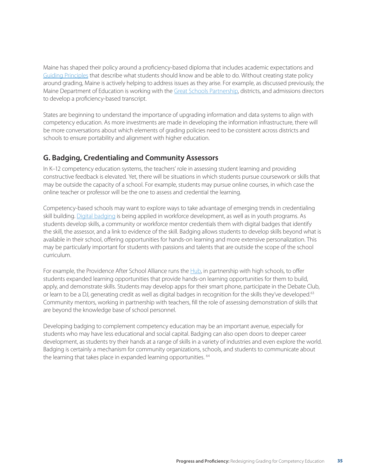<span id="page-34-0"></span>Maine has shaped their policy around a proficiency-based diploma that includes academic expectations and [Guiding Principles](http://www.maine.gov/doe/proficiency/standards/guiding-principles.html) that describe what students should know and be able to do. Without creating state policy around grading, Maine is actively helping to address issues as they arise. For example, as discussed previously, the Maine Department of Education is working with the [Great Schools Partnership,](http://www.greatschoolspartnership.org/) districts, and admissions directors to develop a proficiency-based transcript.

States are beginning to understand the importance of upgrading information and data systems to align with competency education. As more investments are made in developing the information infrastructure, there will be more conversations about which elements of grading policies need to be consistent across districts and schools to ensure portability and alignment with higher education.

#### **G. Badging, Credentialing and Community Assessors**

In K–12 competency education systems, the teachers' role in assessing student learning and providing constructive feedback is elevated. Yet, there will be situations in which students pursue coursework or skills that may be outside the capacity of a school. For example, students may pursue online courses, in which case the online teacher or professor will be the one to assess and credential the learning.

Competency-based schools may want to explore ways to take advantage of emerging trends in credentialing skill building. [Digital badging](https://wiki.mozilla.org/Badges) is being applied in workforce development, as well as in youth programs. As students develop skills, a community or workforce mentor credentials them with digital badges that identify the skill, the assessor, and a link to evidence of the skill. Badging allows students to develop skills beyond what is available in their school, offering opportunities for hands-on learning and more extensive personalization. This may be particularly important for students with passions and talents that are outside the scope of the school curriculum.

For example, the Providence After School Alliance runs the [Hub](http://www.mypasa.org/hub-high-school), in partnership with high schools, to offer students expanded learning opportunities that provide hands-on learning opportunities for them to build, apply, and demonstrate skills. Students may develop apps for their smart phone, participate in the Debate Club, or learn to be a DJ, generating credit as well as digital badges in recognition for the skills they've developed.<sup>63</sup> Community mentors, working in partnership with teachers, fill the role of assessing demonstration of skills that are beyond the knowledge base of school personnel.

Developing badging to complement competency education may be an important avenue, especially for students who may have less educational and social capital. Badging can also open doors to deeper career development, as students try their hands at a range of skills in a variety of industries and even explore the world. Badging is certainly a mechanism for community organizations, schools, and students to communicate about the learning that takes place in expanded learning opportunities. <sup>64</sup>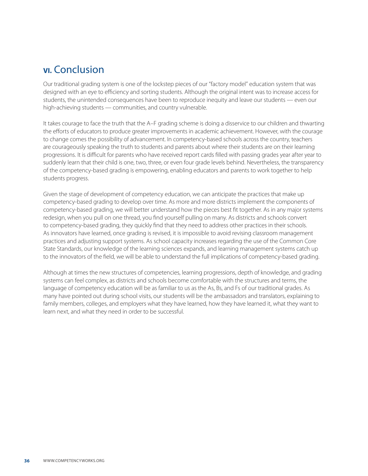## <span id="page-35-0"></span>**VI.** Conclusion

Our traditional grading system is one of the lockstep pieces of our "factory model" education system that was designed with an eye to efficiency and sorting students. Although the original intent was to increase access for students, the unintended consequences have been to reproduce inequity and leave our students — even our high-achieving students — communities, and country vulnerable.

It takes courage to face the truth that the A–F grading scheme is doing a disservice to our children and thwarting the efforts of educators to produce greater improvements in academic achievement. However, with the courage to change comes the possibility of advancement. In competency-based schools across the country, teachers are courageously speaking the truth to students and parents about where their students are on their learning progressions. It is difficult for parents who have received report cards filled with passing grades year after year to suddenly learn that their child is one, two, three, or even four grade levels behind. Nevertheless, the transparency of the competency-based grading is empowering, enabling educators and parents to work together to help students progress.

Given the stage of development of competency education, we can anticipate the practices that make up competency-based grading to develop over time. As more and more districts implement the components of competency-based grading, we will better understand how the pieces best fit together. As in any major systems redesign, when you pull on one thread, you find yourself pulling on many. As districts and schools convert to competency-based grading, they quickly find that they need to address other practices in their schools. As innovators have learned, once grading is revised, it is impossible to avoid revising classroom management practices and adjusting support systems. As school capacity increases regarding the use of the Common Core State Standards, our knowledge of the learning sciences expands, and learning management systems catch up to the innovators of the field, we will be able to understand the full implications of competency-based grading.

Although at times the new structures of competencies, learning progressions, depth of knowledge, and grading systems can feel complex, as districts and schools become comfortable with the structures and terms, the language of competency education will be as familiar to us as the As, Bs, and Fs of our traditional grades. As many have pointed out during school visits, our students will be the ambassadors and translators, explaining to family members, colleges, and employers what they have learned, how they have learned it, what they want to learn next, and what they need in order to be successful.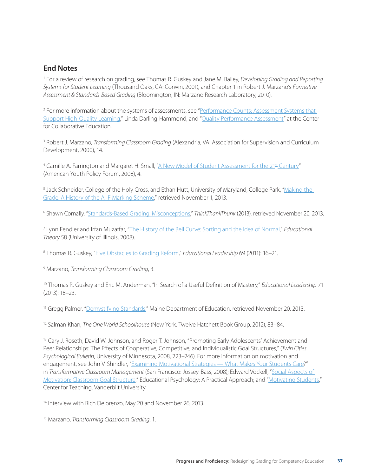#### **End Notes**

1 For a review of research on grading, see Thomas R. Guskey and Jane M. Bailey, *Developing Grading and Reporting Systems for Student Learning* (Thousand Oaks, CA: Corwin, 2001), and Chapter 1 in Robert J. Marzano's *Formative Assessment & Standards-Based Grading* (Bloomington, IN: Marzano Research Laboratory, 2010).

<sup>2</sup> For more information about the systems of assessments, see "Performance Counts: Assessment Systems that [Support High-Quality Learning,](http://www.hewlett.org/uploads/documents/Performance_Counts-Assessment_Systems_that_Support_High-Quality_Learning.pdf)" Linda Darling-Hammond, and "[Quality Performance Assessment](http://www.qualityperformanceassessment.org/)" at the Center for Collaborative Education.

3 Robert J. Marzano, *Transforming Classroom Grading* (Alexandria, VA: Association for Supervision and Curriculum Development, 2000), 14.

<sup>4</sup> Camille A. Farrington and Margaret H. Small, "<u>A New Model of Student Assessment for the 21<sup>st</sup> Century</u>" (American Youth Policy Forum, 2008), 4.

<sup>5</sup> Jack Schneider, College of the Holy Cross, and Ethan Hutt, University of Maryland, College Park, "<u>Making the</u> [Grade: A History of the A–F Marking Scheme](http://academics.holycross.edu/files/Education/schneider/Making_the_Grade_JCS_pre-pub.pdf)," retrieved November 1, 2013.

6 Shawn Cornally, ["Standards-Based Grading: Misconceptions,](http://shawncornally.com/wordpress/%3Fp%3D3647)" *ThinkThankThunk* (2013), retrieved November 20, 2013.

7 Lynn Fendler and Irfan Muzaffar, "[The History of the Bell Curve: Sorting and the Idea of Normal,](http://fendler.wiki.educ.msu.edu/file/view/2008%2BBell%2BCurve.pdf)" *Educational Theory* 58 (University of Illinois, 2008).

8 Thomas R. Guskey, "[Five Obstacles to Grading Reform](http://www.ascd.org/publications/educational-leadership/nov11/vol69/num03/Five-Obstacles-to-Grading-Reform.aspx)," *Educational Leadership* 69 (2011): 16–21.

9 Marzano, *Transforming Classroom Grading*, 3.

10 Thomas R. Guskey and Eric M. Anderman, "In Search of a Useful Definition of Mastery," *Educational Leadership* 71 (2013): 18–23.

<sup>11</sup> Gregg Palmer, ["Demystifying Standards,](http://maine.gov/doe/cbp/case-studies/rsu20/demystifying.html)" Maine Department of Education, retrieved November 20, 2013.

12 Salman Khan, *The One World Schoolhouse* (New York: Twelve Hatchett Book Group, 2012), 83–84.

<sup>13</sup> Cary J. Roseth, David W. Johnson, and Roger T. Johnson, "Promoting Early Adolescents' Achievement and Peer Relationships: The Effects of Cooperative, Competitive, and Individualistic Goal Structures," (*Twin Cities Psychological Bulletin*, University of Minnesota, 2008, 223–246). For more information on motivation and engagement, see John V. Shindler, "[Examining Motivational Strategies — What Makes Your Students Care](http://web.calstatela.edu/faculty/jshindl/cm/Chapter7motivation.htm)?" in *Transformative Classroom Management* (San Francisco: Jossey-Bass, 2008); Edward Vockell, ["Social Aspects of](http://education.purduecal.edu/Vockell/EdPsyBook/Edpsy5/edpsy5_social.htm)  [Motivation: Classroom Goal Structure](http://education.purduecal.edu/Vockell/EdPsyBook/Edpsy5/edpsy5_social.htm)," Educational Psychology: A Practical Approach; and "[Motivating Students,](http://cft.vanderbilt.edu/teaching-guides/interactions/motivating-students/)" Center for Teaching, Vanderbilt University.

<sup>14</sup> Interview with Rich Delorenzo, May 20 and November 26, 2013.

15 Marzano, *Transforming Classroom Grading*, 1.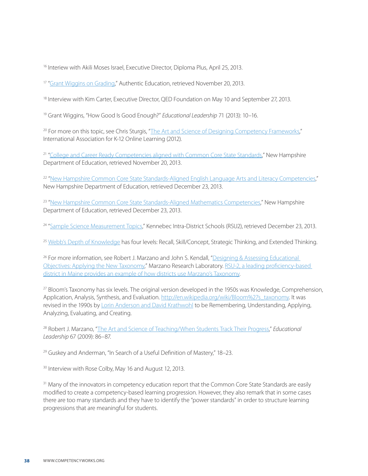<sup>16</sup> Interiew with Akili Moses Israel, Executive Director, Diploma Plus, April 25, 2013.

<sup>17</sup> "[Grant Wiggins on Grading,](http://www.authenticeducation.org/documents/GradingDAY1.pdf)" Authentic Education, retrieved November 20, 2013.

<sup>18</sup> Interview with Kim Carter, Executive Director, QED Foundation on May 10 and September 27, 2013.

19 Grant Wiggins, "How Good Is Good Enough?" *Educational Leadership* 71 (2013): 10–16.

<sup>20</sup> For more on this topic, see Chris Sturgis, "[The Art and Science of Designing Competency Frameworks](http://www.competencyworks.org/wp-content/uploads/2012/08/CompetencyWorks_IssueBrief_DesignCompetencies-Aug-2012.pdf)," International Association for K-12 Online Learning (2012).

<sup>21</sup> ["College and Career Ready Competencies aligned with Common Core State Standards,](http://www.education.nh.gov/competencies/)" New Hampshire Department of Education, retrieved November 20, 2013.

<sup>22</sup> ["New Hampshire Common Core State Standards-Aligned English Language Arts and Literacy Competencies](http://www.education.nh.gov/competencies/documents/ela-competencies.pdf)," New Hampshire Department of Education, retrieved December 23, 2013.

<sup>23</sup> ["New Hampshire Common Core State Standards-Aligned Mathematics Competencies](http://www.education.nh.gov/competencies/documents/NHSBEApprovedMathFinal2.20.13.pdf)," New Hampshire Department of Education, retrieved December 23, 2013.

<sup>24</sup> ["Sample Science Measurement Topics,](http://www.kidsrsu.org/images/uploads/Sample_science_MT.pdf)" Kennebec Intra-District Schools (RSU2), retrieved December 23, 2013.

<sup>25</sup> [Webb's Depth of Knowledge](http://dese.mo.gov/divimprove/sia/msip/DOK_Chart.pdf) has four levels: Recall, Skill/Concept, Strategic Thinking, and Extended Thinking.

<sup>26</sup> For more information, see Robert J. Marzano and John S. Kendall, "Designing & Assessing Educational [Objectives: Applying the New Taxonomy](http://www.marzanoresearch.com/desiging-assessing-education-objectives)," Marzano Research Laboratory. [RSU-2, a leading proficiency-based](http://resources.rsu18.org/EducateResources/Tutorials/Marzanos_Taxonomy.pdf)  [district in Maine provides an example of how districts use Marzano's Taxonomy.](http://resources.rsu18.org/EducateResources/Tutorials/Marzanos_Taxonomy.pdf)

27 Bloom's Taxonomy has six levels. The original version developed in the 1950s was Knowledge, Comprehension, Application, Analysis, Synthesis, and Evaluation. [http://en.wikipedia.org/wiki/Bloom%27s\\_taxonomy.](http://en.wikipedia.org/wiki/Bloom%2527s_taxonomy) It was revised in the 1990s by [Lorin Anderson and David Krathwohl](http://www4.uwsp.edu/education/lwilson/curric/newtaxonomy.htm) to be Remembering, Understanding, Applying, Analyzing, Evaluating, and Creating.

28 Robert J. Marzano, "[The Art and Science of Teaching/When Students Track Their Progress,](http://www.ascd.org/publications/educational-leadership/dec09/vol67/num04/When-Students-Track-Their-Progress.aspx)" *Educational Leadership* 67 (2009): 86–87.

29 Guskey and Anderman, "In Search of a Useful Definition of Mastery," 18–23.

<sup>30</sup> Interview with Rose Colby, May 16 and August 12, 2013.

<sup>31</sup> Many of the innovators in competency education report that the Common Core State Standards are easily modified to create a competency-based learning progression. However, they also remark that in some cases there are too many standards and they have to identify the "power standards" in order to structure learning progressions that are meaningful for students.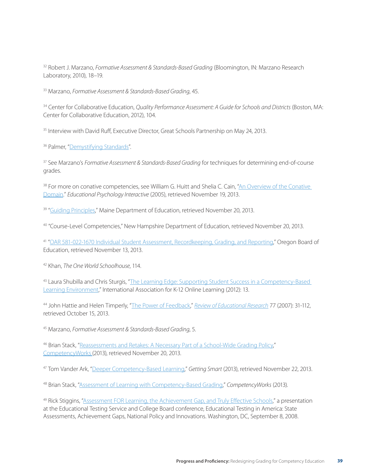32 Robert J. Marzano, *Formative Assessment & Standards-Based Grading* (Bloomington, IN: Marzano Research Laboratory, 2010), 18–19.

33 Marzano, *Formative Assessment & Standards-Based Grading*, 45.

34 Center for Collaborative Education, *Quality Performance Assessment: A Guide for Schools and Districts* (Boston, MA: Center for Collaborative Education, 2012), 104.

<sup>35</sup> Interview with David Ruff, Executive Director, Great Schools Partnership on May 24, 2013.

<sup>36</sup> Palmer, "[Demystifying Standards](http://maine.gov/doe/cbp/case-studies/rsu20/demystifying.html)".

37 See Marzano's *Formative Assessment & Standards-Based Grading* for techniques for determining end-of-course grades.

38 For more on conative competencies, see William G. Huitt and Shelia C. Cain, "An Overview of the Conative [Domain](http://www.edpsycinteractive.org/papers/conative.pdf)." *Educational Psychology Interactive* (2005), retrieved November 19, 2013.

<sup>39</sup> ["Guiding Principles](http://www.maine.gov/doe/proficiency/standards/guiding-principles.html)," Maine Department of Education, retrieved November 20, 2013.

40 "Course-Level Competencies," New Hampshire Department of Education, retrieved November 20, 2013.

41 ["OAR 581-022-1670 Individual Student Assessment, Recordkeeping, Grading, and Reporting](http://www.ode.state.or.us/superintendent/priorities/581022167009282012proposedforweb.doc)," Oregon Board of Education, retrieved November 13, 2013.

42 Khan, *The One World Schoolhouse*, 114.

43 Laura Shubilla and Chris Sturgis, "The Learning Edge: Supporting Student Success in a Competency-Based [Learning Environment,](http://www.competencyworks.org/wp-content/uploads/2012/12/iNACOL_CW_IssueBrief_LearningEdge_full.pdf)" International Association for K-12 Online Learning (2012): 13.

44 John Hattie and Helen Timperly, "[The Power of Feedback,](http://education.qld.gov.au/staff/development/performance/resources/readings/power-feedback.pdf)" *Review of Educational Research* 77 (2007): 31-112, retrieved October 15, 2013.

45 Marzano, *Formative Assessment & Standards-Based Grading*, 5.

46 Brian Stack, "[Reassessments and Retakes: A Necessary Part of a School-Wide Grading Policy](http://www.competencyworks.org/2013/10/reassessments-and-retakes-a-necessary-part-of-a-school-wide-grading-policy/)," [CompetencyWorks](http://www.competencyworks.org./)(2013), retrieved November 20, 2013.

47 Tom Vander Ark, ["Deeper Competency-Based Learning](http://gettingsmart.com/2013/08/deeper-competency-based-learning/)," *Getting Smart* (2013), retrieved November 22, 2013.

48 Brian Stack, ["Assessment of Learning with Competency-Based Grading,](http://www.competencyworks.org/2012/08/assessment-of-learning-with-competency-based-grading/%23more-1601)" *CompetencyWorks* (2013).

<sup>49</sup> Rick Stiggins, ["Assessment FOR Learning, the Achievement Gap, and Truly Effective Schools,](http://www.murrieta.k12.ca.us/cms/lib5/CA01000508/Centricity/Domain/2241/Assessment%2520for%2520the%2520learning%2520gap%2520in%2520effective%2520schools.pdf)" a presentation at the Educational Testing Service and College Board conference, Educational Testing in America: State Assessments, Achievement Gaps, National Policy and Innovations. Washington, DC, September 8, 2008.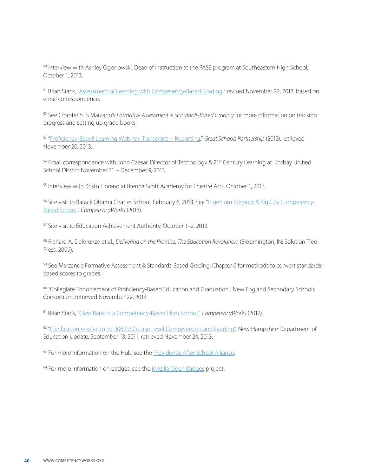50 Interview with Ashley Ogonowski, Dean of Instruction at the PASE program at Southeastern High School, October 1, 2013.

51 Brian Stack, ["Assessment of Learning with Competency-Based Grading](http://www.competencyworks.org/2012/08/assessment-of-learning-with-competency-based-grading/%23more-1601)," revised November 22, 2013, based on email correspondence.

52 See Chapter 5 in Marzano's *Formative Assessment & Standards-Based Grading* for more information on tracking progress and setting up grade books.

53 ["Proficiency-Based Learning Webinar: Transcripts + Reporting,](http://www.greatschoolspartnership.org/webinar_transcripts_reporting/)" *Great Schools Partnership* (2013), retrieved November 20, 2013.

<sup>54</sup> Email correspondence with John Caesar, Director of Technology & 21<sup>st</sup> Century Learning at Lindsay Unified School District November 21 – December 9, 2013.

55 Interview with Kristn Floreno at Brenda Scott Academy for Theatre Arts, October 1, 2013.

56 Site visit to Barack Obama Charter School, February 6, 2013. See ["Ingenium Schools: A Big City Competency-](http://www.competencyworks.org/2013/06/ingenium-schools-a-big-city-competency-based-school/)[Based School](http://www.competencyworks.org/2013/06/ingenium-schools-a-big-city-competency-based-school/)," *CompetencyWorks* (2013).

57 Site visit to Education Achievement Authority, October 1–2, 2013.

58 Richard A. Delorenzo et al., *Delivering on the Promise: The Education Revolution*, (Bloomington, IN: Solution Tree Press, 2009).

59 See Marzano's Formative Assessment & Standards-Based Grading, Chapter 6 for methods to convert standardsbased scores to grades.

60 "Collegiate Endorsement of Proficiency-Based Education and Graduation," New England Secondary Schools Consortium, retrieved November 22, 2013.

61 Brian Stack, "[Class Rank in a Competency-Based High School,](http://www.competencyworks.org/2012/10/class-rank-in-a-competency-based-high-school/%23more-1818)" *CompetencyWorks* (2012).

62 ["Clarification relative to Ed 306.27: Course Level Competencies and Grading"](http://www.education.nh.gov/innovations/hs_redesign/documents/clarification_ed_30627.pdf), New Hampshire Department of Education Update, September 13, 2011, retrieved November 24, 2013.

<sup>63</sup> For more information on the Hub, see the [Providence After School Alliance](http://www.mypasa.org/hub-high-school).

<sup>64</sup> For more information on badges, see the [Mozilla Open Badges](https://wiki.mozilla.org/Badges) project.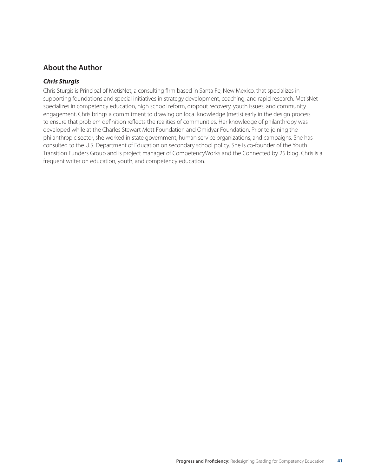#### **About the Author**

#### *Chris Sturgis*

Chris Sturgis is Principal of MetisNet, a consulting firm based in Santa Fe, New Mexico, that specializes in supporting foundations and special initiatives in strategy development, coaching, and rapid research. MetisNet specializes in competency education, high school reform, dropout recovery, youth issues, and community engagement. Chris brings a commitment to drawing on local knowledge (metis) early in the design process to ensure that problem definition reflects the realities of communities. Her knowledge of philanthropy was developed while at the Charles Stewart Mott Foundation and Omidyar Foundation. Prior to joining the philanthropic sector, she worked in state government, human service organizations, and campaigns. She has consulted to the U.S. Department of Education on secondary school policy. She is co-founder of the Youth Transition Funders Group and is project manager of CompetencyWorks and the Connected by 25 blog. Chris is a frequent writer on education, youth, and competency education.